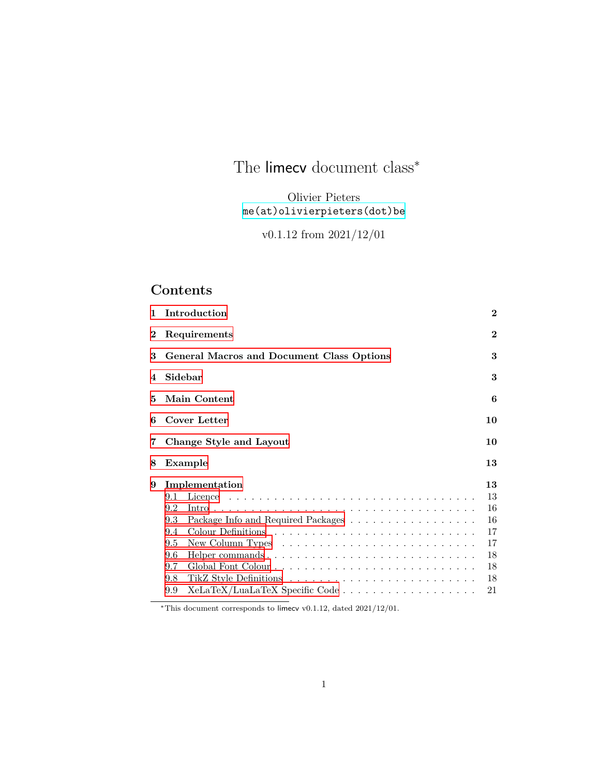# The limecv document class*<sup>∗</sup>*

Olivier Pieters [me\(at\)olivierpieters\(dot\)be](me (at) olivierpieters (dot) be)

v0.1.12 from 2021/12/01

## **Contents**

| 1              | Introduction                                                                                                                                                                                                                   | $\bf{2}$ |  |
|----------------|--------------------------------------------------------------------------------------------------------------------------------------------------------------------------------------------------------------------------------|----------|--|
| $\bf{2}$       | Requirements                                                                                                                                                                                                                   |          |  |
| 3              | General Macros and Document Class Options                                                                                                                                                                                      |          |  |
| $\overline{4}$ | Sidebar                                                                                                                                                                                                                        |          |  |
| 5              | <b>Main Content</b>                                                                                                                                                                                                            |          |  |
| 6              | Cover Letter<br>10                                                                                                                                                                                                             |          |  |
| 7              | Change Style and Layout                                                                                                                                                                                                        | 10       |  |
| 8              | Example                                                                                                                                                                                                                        | 13       |  |
| 9              | Implementation                                                                                                                                                                                                                 | 13       |  |
|                | 9.1                                                                                                                                                                                                                            | 13       |  |
|                | 9.2                                                                                                                                                                                                                            | 16       |  |
|                | 9.3<br>Package Info and Required Packages                                                                                                                                                                                      | 16       |  |
|                | 9.4                                                                                                                                                                                                                            | 17       |  |
|                | 9.5                                                                                                                                                                                                                            | 17       |  |
|                | 9.6                                                                                                                                                                                                                            | 18       |  |
|                | 9.7                                                                                                                                                                                                                            | 18       |  |
|                | 9.8                                                                                                                                                                                                                            | 18       |  |
|                | 9.9                                                                                                                                                                                                                            | 21       |  |
|                | and the contract of the company of the second state of the second state of the second state of the second state of the second state of the second state of the second state of the second state of the second state of the sec |          |  |

*∗*This document corresponds to limecv v0.1.12, dated 2021/12/01.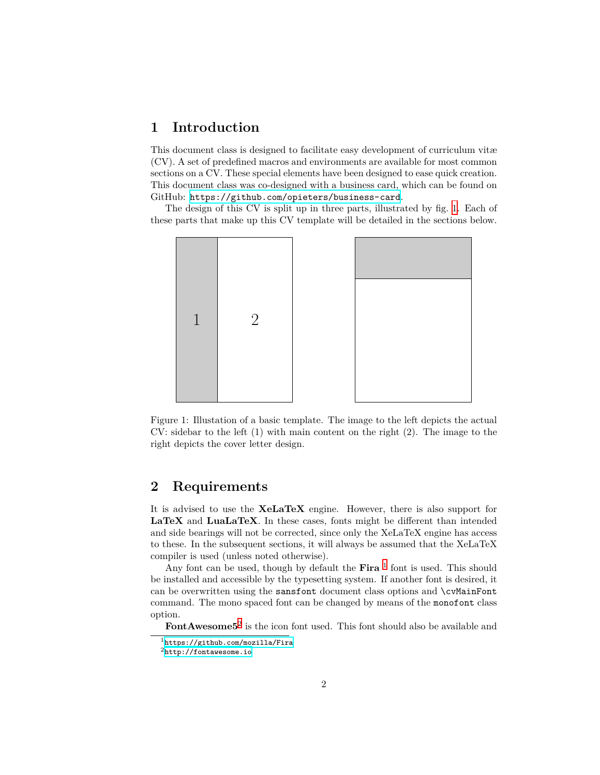### <span id="page-1-0"></span>**1 Introduction**

This document class is designed to facilitate easy development of curriculum vitæ (CV). A set of predefined macros and environments are available for most common sections on a CV. These special elements have been designed to ease quick creation. This document class was co-designed with a business card, which can be found on GitHub: <https://github.com/opieters/business-card>.

The design of this CV is split up in three parts, illustrated by fig. [1.](#page-1-2) Each of these parts that make up this CV template will be detailed in the sections below.



<span id="page-1-2"></span>Figure 1: Illustation of a basic template. The image to the left depicts the actual CV: sidebar to the left (1) with main content on the right (2). The image to the right depicts the cover letter design.

### <span id="page-1-1"></span>**2 Requirements**

It is advised to use the **XeLaTeX** engine. However, there is also support for **LaTeX** and **LuaLaTeX**. In these cases, fonts might be different than intended and side bearings will not be corrected, since only the XeLaTeX engine has access to these. In the subsequent sections, it will always be assumed that the XeLaTeX compiler is used (unless noted otherwise).

Any font can be used, though by default the  $\text{Fira}^{-1}$  $\text{Fira}^{-1}$  $\text{Fira}^{-1}$  font is used. This should be installed and accessible by the typesetting system. If another font is desired, it can be overwritten using the sansfont document class options and \cvMainFont command. The mono spaced font can be changed by means of the monofont class option.

FontAwesome<sup>5[2](#page-1-4)</sup> is the icon font used. This font should also be available and

<span id="page-1-3"></span><sup>1</sup><https://github.com/mozilla/Fira>

<span id="page-1-4"></span><sup>2</sup><http://fontawesome.io>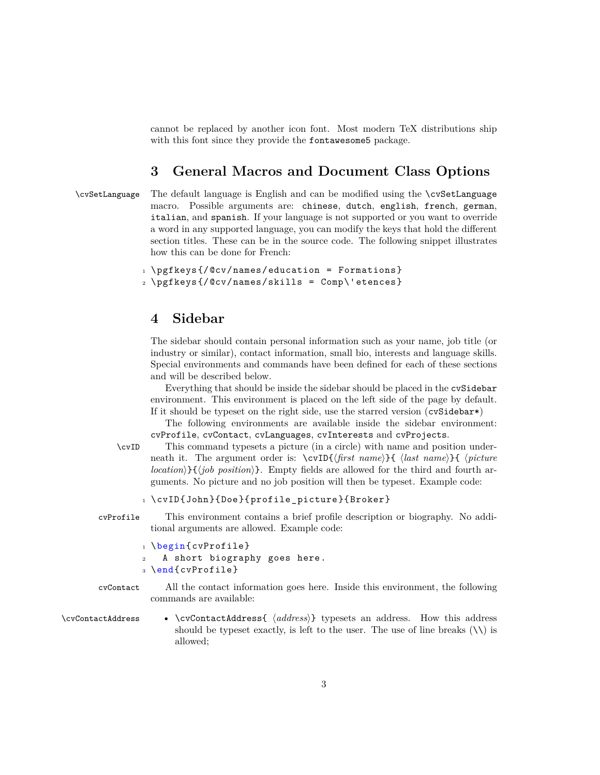cannot be replaced by another icon font. Most modern TeX distributions ship with this font since they provide the fontawesome5 package.

### <span id="page-2-0"></span>**3 General Macros and Document Class Options**

\cvSetLanguage The default language is English and can be modified using the \cvSetLanguage macro. Possible arguments are: chinese, dutch, english, french, german, italian, and spanish. If your language is not supported or you want to override a word in any supported language, you can modify the keys that hold the different section titles. These can be in the source code. The following snippet illustrates how this can be done for French:

```
1 \rightarrow pgfkeys{/@cv/names/education = Formations}
2 \pgfkeys{/@cv/names/skills = Comp\'etences}
```
### <span id="page-2-1"></span>**4 Sidebar**

The sidebar should contain personal information such as your name, job title (or industry or similar), contact information, small bio, interests and language skills. Special environments and commands have been defined for each of these sections and will be described below.

Everything that should be inside the sidebar should be placed in the cvSidebar environment. This environment is placed on the left side of the page by default. If it should be typeset on the right side, use the starred version (cvSidebar\*)

The following environments are available inside the sidebar environment: cvProfile, cvContact, cvLanguages, cvInterests and cvProjects.

\cvID This command typesets a picture (in a circle) with name and position underneath it. The argument order is: \cvID{*⟨first name⟩*}{ *⟨last name⟩*}{ *⟨picture location⟩*}{*⟨job position⟩*}. Empty fields are allowed for the third and fourth arguments. No picture and no job position will then be typeset. Example code:

```
1 \cvID{John}{Doe}{profile_picture}{Broker}
```
cvProfile This environment contains a brief profile description or biography. No additional arguments are allowed. Example code:

```
1 \begin{cvProfile}
   A short biography goes here.
3 \end{cvProfile}
```

```
cvContact All the contact information goes here. Inside this environment, the following
           commands are available:
```
\cvContactAddress • \cvContactAddress{ *⟨address⟩*} typesets an address. How this address should be typeset exactly, is left to the user. The use of line breaks  $(\setminus)$  is allowed;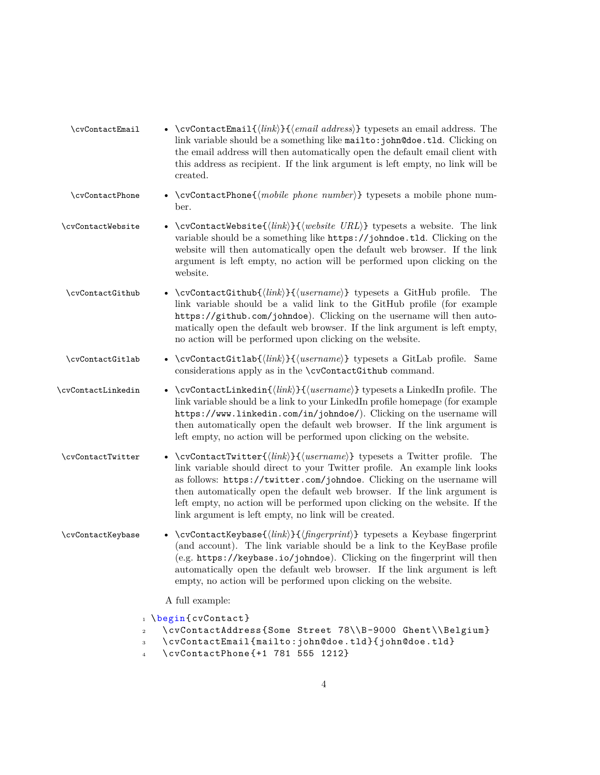| \cvContactEmail    | • \cvContactEmail $\{\langle link \rangle\}$ { $\langle email \text{ address} \rangle\}$ typesets an email address. The<br>link variable should be a something like mailto: john@doe.tld. Clicking on<br>the email address will then automatically open the default email client with<br>this address as recipient. If the link argument is left empty, no link will be<br>created.                                                                                                      |
|--------------------|------------------------------------------------------------------------------------------------------------------------------------------------------------------------------------------------------------------------------------------------------------------------------------------------------------------------------------------------------------------------------------------------------------------------------------------------------------------------------------------|
| \cvContactPhone    | • \cvContactPhone{ $\langle mobile\ phone\ number\rangle$ } typesets a mobile phone num-<br>ber.                                                                                                                                                                                                                                                                                                                                                                                         |
| \cvContactWebsite  | • \cvContactWebsite{ $\langle link \rangle$ }{ $\langle website \, URL \rangle$ } typesets a website. The link<br>variable should be a something like https://johndoe.tld. Clicking on the<br>website will then automatically open the default web browser. If the link<br>argument is left empty, no action will be performed upon clicking on the<br>website.                                                                                                                          |
| \cvContactGithub   | • $\c{vContentCithub}({\langle link \rangle} {\langle username \rangle})$ typesets a GitHub profile.<br>The<br>link variable should be a valid link to the GitHub profile (for example<br>https://github.com/johndoe). Clicking on the username will then auto-<br>matically open the default web browser. If the link argument is left empty,<br>no action will be performed upon clicking on the website.                                                                              |
| \cvContactGitlab   | • \cvContactGitlab{ $\langle link \rangle$ }{ $\langle username \rangle$ } typesets a GitLab profile. Same<br>considerations apply as in the \cvContactGithub command.                                                                                                                                                                                                                                                                                                                   |
| \cvContactLinkedin | • \cvContactLinkedin{ $\langle link \rangle$ }{ $\langle username \rangle$ } typesets a LinkedIn profile. The<br>link variable should be a link to your LinkedIn profile homepage (for example<br>https://www.linkedin.com/in/johndoe/). Clicking on the username will<br>then automatically open the default web browser. If the link argument is<br>left empty, no action will be performed upon clicking on the website.                                                              |
| \cvContactTwitter  | • \cvContactTwitter{ $\langle link \rangle$ }{ $\langle username \rangle$ } typesets a Twitter profile. The<br>link variable should direct to your Twitter profile. An example link looks<br>as follows: https://twitter.com/johndoe. Clicking on the username will<br>then automatically open the default web browser. If the link argument is<br>left empty, no action will be performed upon clicking on the website. If the<br>link argument is left empty, no link will be created. |
| \cvContactKeybase  | • \cvContactKeybase{ $\langle link \rangle$ }{ $\langle fingerprint \rangle$ } typesets a Keybase fingerprint<br>(and account). The link variable should be a link to the KeyBase profile<br>(e.g. https://keybase.io/johndoe). Clicking on the fingerprint will then<br>automatically open the default web browser. If the link argument is left<br>empty, no action will be performed upon clicking on the website.                                                                    |
|                    | A full example:                                                                                                                                                                                                                                                                                                                                                                                                                                                                          |
|                    | 1 \begin{cvContact}<br>\cvContactAddress{Some Street 78\\B-9000 Ghent\\Belgium}<br>$\,2$<br>\cvContactEmail{mailto:john@doe.tld}{john@doe.tld}<br>3                                                                                                                                                                                                                                                                                                                                      |

<sup>4</sup> \cvContactPhone{+1 781 555 1212}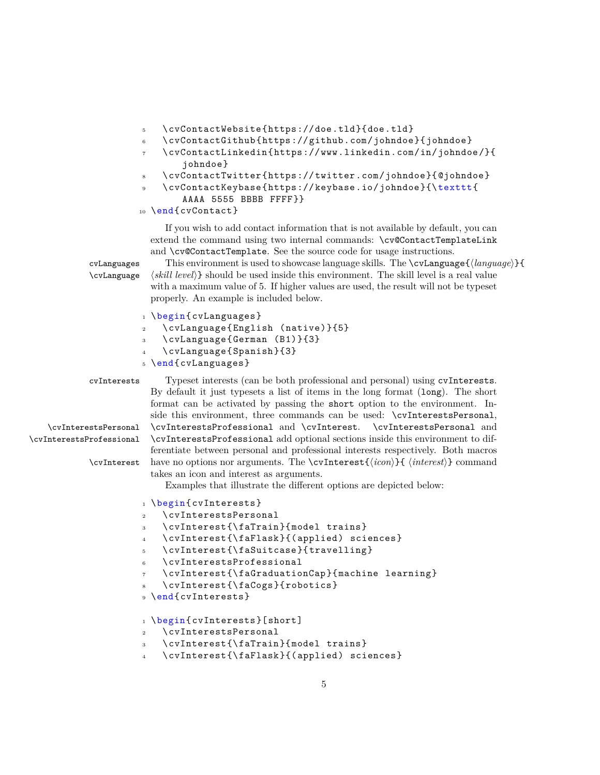- <sup>5</sup> \cvContactWebsite{https://doe.tld}{doe.tld}
- <sup>6</sup> \cvContactGithub{https://github.com/johndoe}{johndoe}
- <sup>7</sup> \cvContactLinkedin{https://www.linkedin.com/in/johndoe/}{ johndoe}
- <sup>8</sup> \cvContactTwitter{https://twitter.com/johndoe}{@johndoe}
- <sup>9</sup> \cvContactKeybase{https://keybase.io/johndoe}{\texttt{
	- AAAA 5555 BBBB FFFF}}

```
10 \end{cvContact}
```
If you wish to add contact information that is not available by default, you can extend the command using two internal commands: \cv@ContactTemplateLink and \cv@ContactTemplate. See the source code for usage instructions.

cvLanguages This environment is used to showcase language skills. The \cvLanguage{ $\langle \text{language} \rangle$ }{<br>\cvLanguage  $\langle \text{skill level} \rangle$ } should be used inside this environment. The skill level is a real value  $\langle skill\ level\rangle$ } should be used inside this environment. The skill level is a real value with a maximum value of 5. If higher values are used, the result will not be typeset properly. An example is included below.

```
1 \begin{cvLanguages}
```

```
2 \cvLanguage{English (native)}{5}
```

```
3 \cvLanguage{German (B1)}{3}
```
<sup>4</sup> \cvLanguage{Spanish}{3}

```
5 \end{cvLanguages}
```
cvInterests Typeset interests (can be both professional and personal) using cvInterests. By default it just typesets a list of items in the long format (long). The short format can be activated by passing the short option to the environment. Inside this environment, three commands can be used: \cvInterestsPersonal, \cvInterestsPersonal \cvInterestsProfessional and \cvInterest. \cvInterestsPersonal and \cvInterestsProfessional \cvInterestsProfessional add optional sections inside this environment to differentiate between personal and professional interests respectively. Both macros \cvInterest have no options nor arguments. The \cvInterest{*⟨icon⟩*}{ *⟨interest⟩*} command takes an icon and interest as arguments.

Examples that illustrate the different options are depicted below:

```
1 \begin{cvInterests}
```

```
2 \cvInterestsPersonal
```

```
3 \cvInterest{\faTrain}{model trains}
```
<sup>4</sup> \cvInterest{\faFlask}{(applied) sciences}

```
5 \cvInterest{\faSuitcase}{travelling}
```
\cvInterestsProfessional

```
7 \cvInterest{\faGraduationCap}{machine learning}
```
- <sup>8</sup> \cvInterest{\faCogs}{robotics}
- 9 \end{cvInterests}

```
1 \begin{cvInterests}[short]
```
- <sup>2</sup> \cvInterestsPersonal
- <sup>3</sup> \cvInterest{\faTrain}{model trains}
- <sup>4</sup> \cvInterest{\faFlask}{(applied) sciences}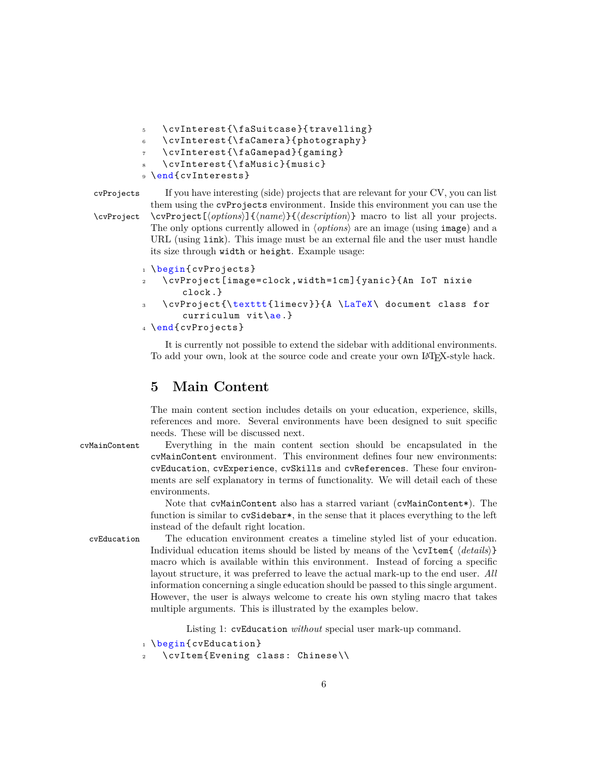```
5 \cvInterest{\faSuitcase}{travelling}
   \cvInterest{\faCamera}{photography}
   7 \cvInterest{\faGamepad}{gaming}
   8 \cvInterest{\faMusic}{music}
9 \end{cvInterests}
```
cvProjects If you have interesting (side) projects that are relevant for your CV, you can list them using the cvProjects environment. Inside this environment you can use the \cvProject \cvProject[*⟨options⟩*]{*⟨name⟩*}{*⟨description⟩*} macro to list all your projects. The only options currently allowed in *⟨options⟩* are an image (using image) and a URL (using link). This image must be an external file and the user must handle its size through width or height. Example usage:

```
1 \begin{cvProjects}
```
- <sup>2</sup> \cvProject[image=clock ,width=1cm]{yanic}{An IoT nixie clock.}
- <sup>3</sup> \cvProject{\texttt{limecv}}{A \LaTeX\ document class for curriculum vit\ae.}

```
4 \end{cvProjects}
```
It is currently not possible to extend the sidebar with additional environments. To add your own, look at the source code and create your own LATEX-style hack.

### <span id="page-5-0"></span>**5 Main Content**

The main content section includes details on your education, experience, skills, references and more. Several environments have been designed to suit specific needs. These will be discussed next.

cvMainContent Everything in the main content section should be encapsulated in the cvMainContent environment. This environment defines four new environments: cvEducation, cvExperience, cvSkills and cvReferences. These four environments are self explanatory in terms of functionality. We will detail each of these environments.

> Note that cvMainContent also has a starred variant (cvMainContent\*). The function is similar to cvSidebar\*, in the sense that it places everything to the left instead of the default right location.

cvEducation The education environment creates a timeline styled list of your education. Individual education items should be listed by means of the \cvItem{ *⟨details⟩*} macro which is available within this environment. Instead of forcing a specific layout structure, it was preferred to leave the actual mark-up to the end user. *All* information concerning a single education should be passed to this single argument. However, the user is always welcome to create his own styling macro that takes multiple arguments. This is illustrated by the examples below.

Listing 1: cvEducation *without* special user mark-up command.

```
1 \begin{cvEducation}
```
\cvItem{Evening class: Chinese\\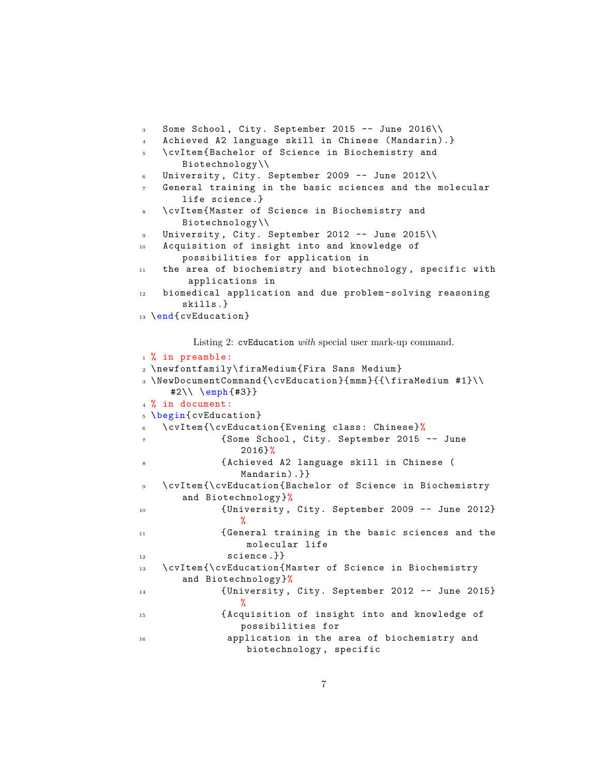```
3 Some School , City. September 2015 -- June 2016\\
   4 Achieved A2 language skill in Chinese (Mandarin).}
5 \cvItem{Bachelor of Science in Biochemistry and
       Biotechnology\\
6 University, City. September 2009 -- June 2012\\
7 General training in the basic sciences and the molecular
       life science.}
    8 \cvItem{Master of Science in Biochemistry and
       Biotechnology\\
9 University, City. September 2012 -- June 2015\\
10 Acquisition of insight into and knowledge of
       possibilities for application in
11 the area of biochemistry and biotechnology, specific with
        applications in
12 biomedical application and due problem -solving reasoning
       skills.}
13 \end{cvEducation}
```
Listing 2: cvEducation *with* special user mark-up command.

```
1 % in preamble:
2 \newfontfamily\firaMedium{Fira Sans Medium}
3 \NewDocumentCommand{\cvEducation}{mmm}{{\firaMedium #1}\\
     #2\\ \emph{#3}}
4 % in document:
5 \begin{cvEducation}
6 \cvItem{\cvEducation{Evening class: Chinese}%
7 {Some School , City. September 2015 -- June
                2016}%
             8 {Achieved A2 language skill in Chinese (
                Mandarin).}}
9 \cvItem{\cvEducation{Bachelor of Science in Biochemistry
      and Biotechnology}%
10 {University , City. September 2009 -- June 2012}
                %
11 {General training in the basic sciences and the
                 molecular life
12 science.}}
13 \cvItem{\cvEducation{Master of Science in Biochemistry
      and Biotechnology}%
14 {University , City. September 2012 -- June 2015}
                %
15 {Acquisition of insight into and knowledge of
                possibilities for
16 application in the area of biochemistry and
                 biotechnology , specific
```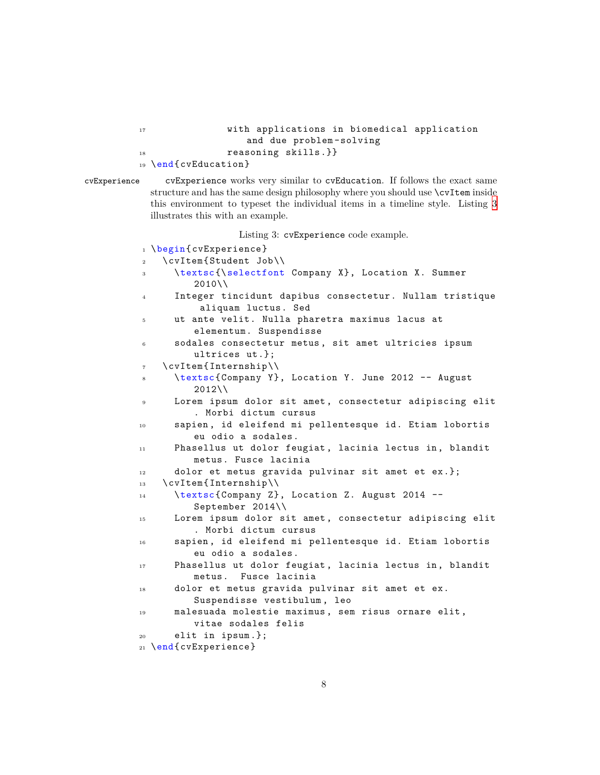```
17 with applications in biomedical application
               and due problem -solving
18 reasoning skills.}}
19 \end{cvEducation}
```
cvExperience cvExperience works very similar to cvEducation. If follows the exact same structure and has the same design philosophy where you should use  $\c{c$ rItem inside this environment to typeset the individual items in a timeline style. Listing [3](#page-7-0) illustrates this with an example.

Listing 3: cvExperience code example.

```
1 \begin{cvExperience}
2 \cvItem{Student Job\\
3 \textsc{\selectfont Company X}, Location X. Summer
         2010\\
4 Integer tincidunt dapibus consectetur. Nullam tristique
          aliquam luctus. Sed
5 ut ante velit. Nulla pharetra maximus lacus at
         elementum. Suspendisse
     sodales consectetur metus, sit amet ultricies ipsum
         ultrices ut.};
7 \cvItem{Internship\\
8 \textsc{Company Y}, Location Y. June 2012 -- August
         2012\9 Lorem ipsum dolor sit amet, consectetur adipiscing elit
         . Morbi dictum cursus
10 sapien , id eleifend mi pellentesque id. Etiam lobortis
         eu odio a sodales.
11 Phasellus ut dolor feugiat , lacinia lectus in, blandit
         metus. Fusce lacinia
12 dolor et metus gravida pulvinar sit amet et ex.};
13 \cvItem{Internship\\
14 \textsc{Company Z}, Location Z. August 2014 --
         September 2014\\
15 Lorem ipsum dolor sit amet, consectetur adipiscing elit
         . Morbi dictum cursus
16 sapien , id eleifend mi pellentesque id. Etiam lobortis
         eu odio a sodales.
17 Phasellus ut dolor feugiat, lacinia lectus in, blandit
         metus. Fusce lacinia
18 dolor et metus gravida pulvinar sit amet et ex.
         Suspendisse vestibulum , leo
19 malesuada molestie maximus , sem risus ornare elit,
         vitae sodales felis
20 elit in ipsum.};
21 \end{cvExperience}
```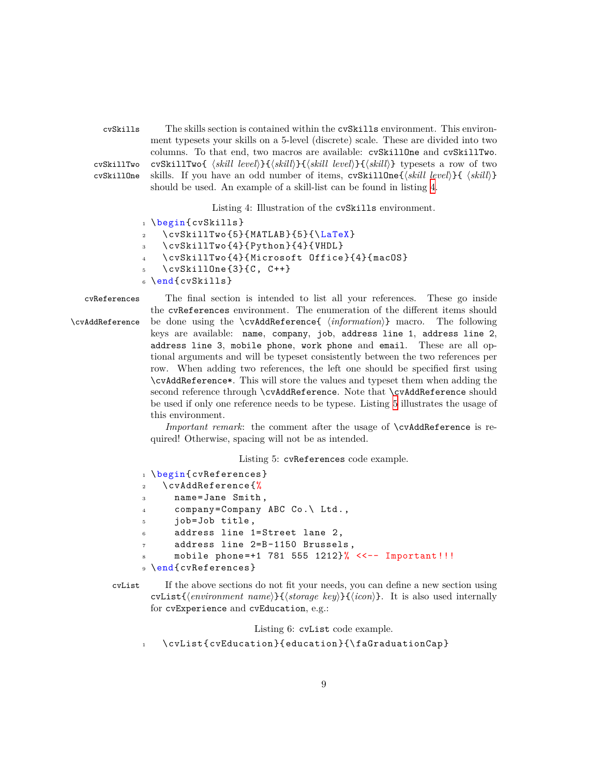cvSkills The skills section is contained within the cvSkills environment. This environment typesets your skills on a 5-level (discrete) scale. These are divided into two columns. To that end, two macros are available: cvSkillOne and cvSkillTwo. cvSkillTwo cvSkillTwo{  $\langle$ *skill level* $\rangle$ }{ $\langle$ *skill* $\rangle$ }{ $\langle$ *skill* $\rangle$ }{ $\langle$ *skill*}} typesets a row of two cvSkillDne skills. If you have an odd number of items. cvSkill10ne{*\skill level*}}{  $\langle$ *skill*}} skills. If you have an odd number of items, cvSkillOne{ $\langle$ *skill level* $\rangle$ }{  $\langle$ *skill*}} should be used. An example of a skill-list can be found in listing [4](#page-8-0).

Listing 4: Illustration of the cvSkills environment.

```
1 \begin{cvSkills}
   \cupcvSkillTwo{5}{MATLAB}{5}{\angleLaTeX}
    3 \cvSkillTwo{4}{Python}{4}{VHDL}
   4 \cvSkillTwo{4}{Microsoft Office}{4}{macOS}
    \csc{5} \cvSkillOne{3}{C, C++}
6 \end{cvSkills}
```
cvReferences The final section is intended to list all your references. These go inside the cvReferences environment. The enumeration of the different items should \cvAddReference be done using the \cvAddReference{ *⟨information⟩*} macro. The following keys are available: name, company, job, address line 1, address line 2, address line 3, mobile phone, work phone and email. These are all optional arguments and will be typeset consistently between the two references per row. When adding two references, the left one should be specified first using \cvAddReference\*. This will store the values and typeset them when adding the second reference through \cvAddReference. Note that \cvAddReference should be used if only one reference needs to be typese. Listing [5](#page-8-1) illustrates the usage of this environment.

> *Important remark*: the comment after the usage of \cvAddReference is required! Otherwise, spacing will not be as intended.

> > Listing 5: cvReferences code example.

```
1 \begin{cvReferences}
2 \cvAddReference{%
3 name=Jane Smith ,
4 company=Company ABC Co.\ Ltd.,
     job=Job title,
     address line 1=Street lane 2,
     address line 2=B-1150 Brussels,
     mobile phone=+1 781 555 1212}% <<-- Important!!!
9 \end{cvReferences}
```
cvList If the above sections do not fit your needs, you can define a new section using cvList{*⟨environment name⟩*}{*⟨storage key⟩*}{*⟨icon⟩*}. It is also used internally for cvExperience and cvEducation, e.g.:

Listing 6: cvList code example.

<sup>1</sup> \cvList{cvEducation}{education}{\faGraduationCap}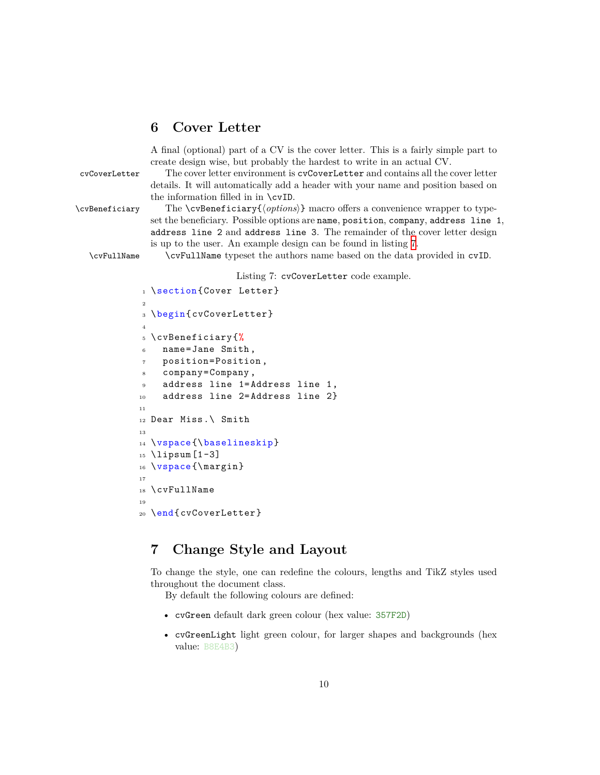### <span id="page-9-0"></span>**6 Cover Letter**

A final (optional) part of a CV is the cover letter. This is a fairly simple part to create design wise, but probably the hardest to write in an actual CV.

cvCoverLetter The cover letter environment is cvCoverLetter and contains all the cover letter details. It will automatically add a header with your name and position based on the information filled in in \cvID.

\cvBeneficiary The \cvBeneficiary{*⟨options⟩*} macro offers a convenience wrapper to typeset the beneficiary. Possible options are name, position, company, address line 1, address line 2 and address line 3. The remainder of the cover letter design is up to the user. An example design can be found in listing [7.](#page-9-2)

\cvFullName \cvFullName typeset the authors name based on the data provided in cvID.

#### Listing 7: cvCoverLetter code example.

```
1 \section{Cover Letter}
2
3 \begin{cvCoverLetter}
4
5 \cvBeneficiary{%
6 name=Jane Smith ,
    7 position=Position ,
    company=Company,
9 address line 1=Address line 1,
10 address line 2=Address line 2}
11
12 Dear Miss.\ Smith
13
14 \vspace{\baselineskip}
15 \lipsum [1-3]16 \vspace{\margin}
17
18 \cvFullName
19
20 \end{cvCoverLetter}
```
### <span id="page-9-1"></span>**7 Change Style and Layout**

To change the style, one can redefine the colours, lengths and TikZ styles used throughout the document class.

By default the following colours are defined:

- cvGreen default dark green colour (hex value: 357F2D)
- cvGreenLight light green colour, for larger shapes and backgrounds (hex value: B8E4B3)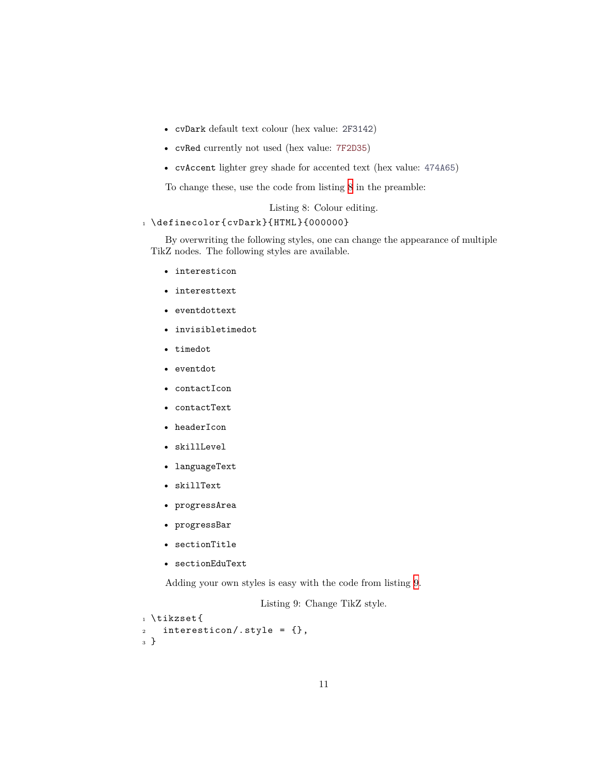- cvDark default text colour (hex value: 2F3142)
- cvRed currently not used (hex value: 7F2D35)
- cvAccent lighter grey shade for accented text (hex value: 474A65)

To change these, use the code from listing [8](#page-10-0) in the preamble:

Listing 8: Colour editing.

#### <span id="page-10-0"></span>1 \definecolor{cvDark}{HTML}{000000}

By overwriting the following styles, one can change the appearance of multiple TikZ nodes. The following styles are available.

- interesticon
- interesttext
- eventdottext
- invisibletimedot
- timedot
- eventdot
- contactIcon
- contactText
- headerIcon
- skillLevel
- languageText
- skillText
- progressArea
- progressBar
- sectionTitle
- sectionEduText

<span id="page-10-1"></span>Adding your own styles is easy with the code from listing [9](#page-10-1).

Listing 9: Change TikZ style.

```
1 \tikzset{
2 interesticon/.style = {},
3 }
```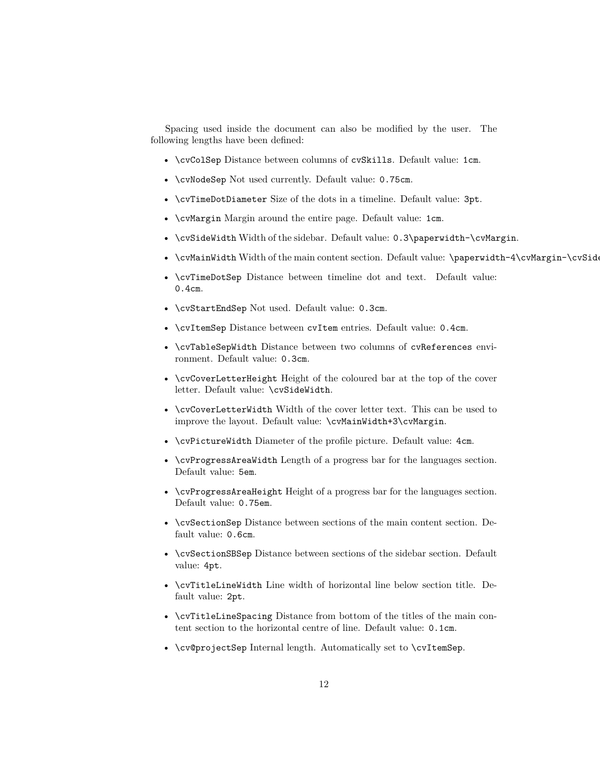Spacing used inside the document can also be modified by the user. The following lengths have been defined:

- \cvColSep Distance between columns of cvSkills. Default value: 1cm.
- \cvNodeSep Not used currently. Default value: 0.75cm.
- \cvTimeDotDiameter Size of the dots in a timeline. Default value: 3pt.
- \cvMargin Margin around the entire page. Default value: 1cm.
- \cvSideWidth Width of the sidebar. Default value: 0.3\paperwidth-\cvMargin.
- \cvMainWidth Width of the main content section. Default value: \paperwidth-4\cvMargin-\cvSid
- \cvTimeDotSep Distance between timeline dot and text. Default value: 0.4cm.
- \cvStartEndSep Not used. Default value: 0.3cm.
- \cvItemSep Distance between cvItem entries. Default value: 0.4cm.
- \cvTableSepWidth Distance between two columns of cvReferences environment. Default value: 0.3cm.
- \cvCoverLetterHeight Height of the coloured bar at the top of the cover letter. Default value: \cvSideWidth.
- \cvCoverLetterWidth Width of the cover letter text. This can be used to improve the layout. Default value: \cvMainWidth+3\cvMargin.
- \cvPictureWidth Diameter of the profile picture. Default value: 4cm.
- \cvProgressAreaWidth Length of a progress bar for the languages section. Default value: 5em.
- \cvProgressAreaHeight Height of a progress bar for the languages section. Default value: 0.75em.
- \cvSectionSep Distance between sections of the main content section. Default value: 0.6cm.
- \cvSectionSBSep Distance between sections of the sidebar section. Default value: 4pt.
- \cvTitleLineWidth Line width of horizontal line below section title. Default value: 2pt.
- \cvTitleLineSpacing Distance from bottom of the titles of the main content section to the horizontal centre of line. Default value: 0.1cm.
- \cv@projectSep Internal length. Automatically set to \cvItemSep.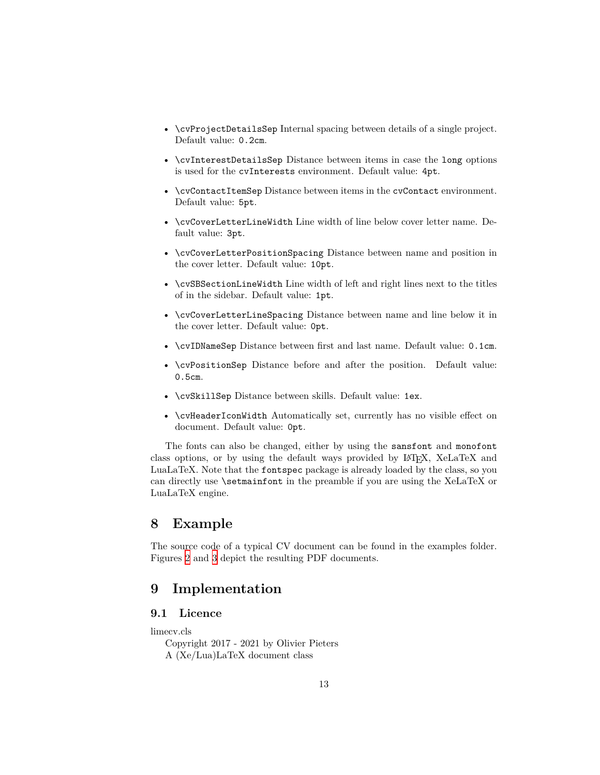- \cvProjectDetailsSep Internal spacing between details of a single project. Default value: 0.2cm.
- \cvInterestDetailsSep Distance between items in case the long options is used for the cvInterests environment. Default value: 4pt.
- \cvContactItemSep Distance between items in the cvContact environment. Default value: 5pt.
- \cvCoverLetterLineWidth Line width of line below cover letter name. Default value: 3pt.
- \cvCoverLetterPositionSpacing Distance between name and position in the cover letter. Default value: 10pt.
- \cvSBSectionLineWidth Line width of left and right lines next to the titles of in the sidebar. Default value: 1pt.
- \cvCoverLetterLineSpacing Distance between name and line below it in the cover letter. Default value: 0pt.
- \cvIDNameSep Distance between first and last name. Default value: 0.1cm.
- \cvPositionSep Distance before and after the position. Default value: 0.5cm.
- \cvSkillSep Distance between skills. Default value: 1ex.
- \cvHeaderIconWidth Automatically set, currently has no visible effect on document. Default value: 0pt.

The fonts can also be changed, either by using the sansfont and monofont class options, or by using the default ways provided by LATEX, XeLaTeX and LuaLaTeX. Note that the fontspec package is already loaded by the class, so you can directly use \setmainfont in the preamble if you are using the XeLaTeX or LuaLaTeX engine.

### <span id="page-12-0"></span>**8 Example**

The source code of a typical CV document can be found in the examples folder. Figures [2](#page-13-0) and [3](#page-14-0) depict the resulting PDF documents.

### <span id="page-12-1"></span>**9 Implementation**

### <span id="page-12-2"></span>**9.1 Licence**

limecv.cls

Copyright 2017 - 2021 by Olivier Pieters A (Xe/Lua)LaTeX document class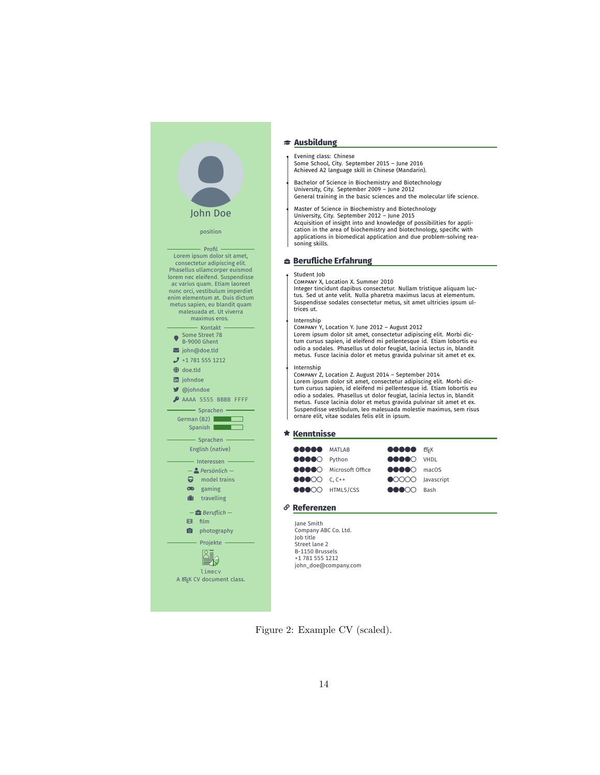### John Doe position Profil -Lorem ipsum dolor sit amet, consectetur adipiscing elit. Phasellus ullamcorper euismod lorem nec eleifend. Suspendisse ac varius quam. Etiam laoreet nunc orci, vestibulum imperdiet enim elementum at. Duis dictum metus sapien, eu blandit quam malesuada et. Ut viverra maximus eros. Kontakt  $\bullet$ Some Street 78 B-9000 Ghent

- å john@doe.tld  $J$  +1 781 555 1212
- Å doe.tld D johndoe
- F @johndoe
- AAAA 5555 BBBB FFFF

Sprachen -German (B2)  $\overline{\phantom{a}}$ Spanish |



#### $\bullet$  gaming **i** travelling

— É *Beruflich* —  $H$  film **n** photography

Projekte  $\begin{picture}(40,4) \put(0,0){\line(1,0){15}} \put(1,0){\line(1,0){15}} \put(1,0){\line(1,0){15}} \put(1,0){\line(1,0){15}} \put(1,0){\line(1,0){15}} \put(1,0){\line(1,0){15}} \put(1,0){\line(1,0){15}} \put(1,0){\line(1,0){15}} \put(1,0){\line(1,0){15}} \put(1,0){\line(1,0){15}} \put(1,0){\line(1,0){15}} \put(1,0){\line(1,0){15}} \put(1,0$ 

limecv A LATEX CV document class.

#### <sup>œ</sup> **Ausbildung**

Evening class: Chinese Some School, City. September 2015 – June 2016 Achieved A2 language skill in Chinese (Mandarin).

Bachelor of Science in Biochemistry and Biotechnology University, City. September 2009 – June 2012 General training in the basic sciences and the molecular life science.

Master of Science in Biochemistry and Biotechnology

University, City. September 2012 – June 2015 Acquisition of insight into and knowledge of possibilities for application in the area of biochemistry and biotechnology, specific with applications in biomedical application and due problem-solving reasoning skills.

#### <sup>É</sup> **Berufliche Erfahrung**

#### Student Job

COMPANY X, Location X. Summer 2010

Integer tincidunt dapibus consectetur. Nullam tristique aliquam luc-tus. Sed ut ante velit. Nulla pharetra maximus lacus at elementum. Suspendisse sodales consectetur metus, sit amet ultricies ipsum ultrices ut.

#### Internship

COMPANY Y, Location Y. June 2012 – August 2012

Lorem ipsum dolor sit amet, consectetur adipiscing elit. Morbi dic-tum cursus sapien, id eleifend mi pellentesque id. Etiam lobortis eu odio a sodales. Phasellus ut dolor feugiat, lacinia lectus in, blandit metus. Fusce lacinia dolor et metus gravida pulvinar sit amet et ex.

#### Internship

COMPANY Z, Location Z. August 2014 – September 2014 Lorem ipsum dolor sit amet, consectetur adipiscing elit. Morbi dic-tum cursus sapien, id eleifend mi pellentesque id. Etiam lobortis eu odio a sodales. Phasellus ut dolor feugiat, lacinia lectus in, blandit metus. Fusce lacinia dolor et metus gravida pulvinar sit amet et ex. Suspendisse vestibulum, leo malesuada molestie maximus, sem risus ornare elit, vitae sodales felis elit in ipsum.

#### <sup>F</sup> **Kenntnisse**

| <b>GOOGO</b> MATLAB<br><b>OCOO</b> Python                                                           |                                    | <b>OOOOO</b> ET <sub>F</sub> X<br><b>ODDOO</b> VHDL           |  |
|-----------------------------------------------------------------------------------------------------|------------------------------------|---------------------------------------------------------------|--|
|                                                                                                     | ●●●●○ Microsoft Office ●●●●○ macOS |                                                               |  |
| $\bullet \bullet \bullet \circ \circ$ C, C++<br>$\bullet \bullet \bullet \bullet \bullet$ HTML5/CSS |                                    | OOOO Javascript<br>$\bullet \bullet \bullet \circ \circ$ Bash |  |

#### <sup>Ì</sup> **Referenzen**

Jane Smith Company ABC Co. Ltd. Job title Street lane 2 B-1150 Brussels +1 781 555 1212 john\_doe@company.com

<span id="page-13-0"></span>Figure 2: Example CV (scaled).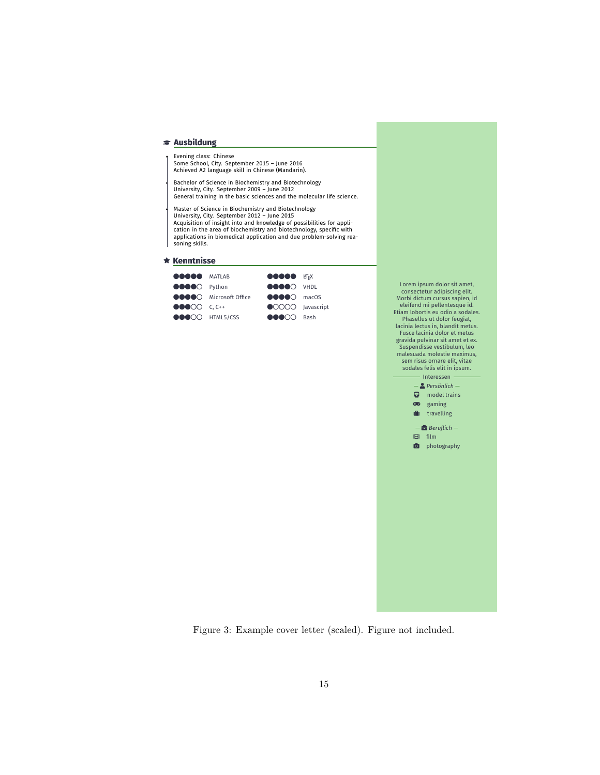#### <sup>œ</sup> **Ausbildung**

Evening class: Chinese Some School, City. September 2015 – June 2016 Achieved A2 language skill in Chinese (Mandarin).

Bachelor of Science in Biochemistry and Biotechnology<br>University, City. September 2009 – June 2012<br>General training in the basic sciences and the molecular life science.

Master of Science in Biochemistry and Biotechnology University, City. September 2012 – June 2015 Acquisition of insight into and knowledge of possibilities for application in the area of biochemistry and biotechnology, specific with applications in biomedical application and due problem-solving reasoning skills.

<sup>F</sup> **Kenntnisse**

| <b>GOOGO</b> MATLAB                      |                        | <b>OOOOO</b> ET <sub>F</sub> X             |  |
|------------------------------------------|------------------------|--------------------------------------------|--|
| ●●●●○ Python                             |                        | <b>OOOOO</b> VHDL                          |  |
|                                          | ●●●●○ Microsoft Office | $\bullet\bullet\bullet\bullet\circ$ macOS  |  |
| $\bullet\bullet\bullet\circ\circ$ C, C++ |                        | OOOO Javascript                            |  |
|                                          | ●●●○○ HTML5/CSS        | $\bullet \bullet \bullet \circ \circ$ Bash |  |

Lorem ipsum dolor sit amet, consectetur adipiscing elit. Morbi dictum cursus sapien, id eleifend mi pellentesque id. Etiam lobortis eu odio a sodales. Phasellus ut dolor feugiat, lacinia lectus in, blandit metus. Fusce lacinia dolor et metus gravida pulvinar sit amet et ex. Suspendisse vestibulum, leo malesuada molestie maximus, sem risus ornare elit, vitae sodales felis elit in ipsum. - Interessen



<span id="page-14-0"></span>Figure 3: Example cover letter (scaled). Figure not included.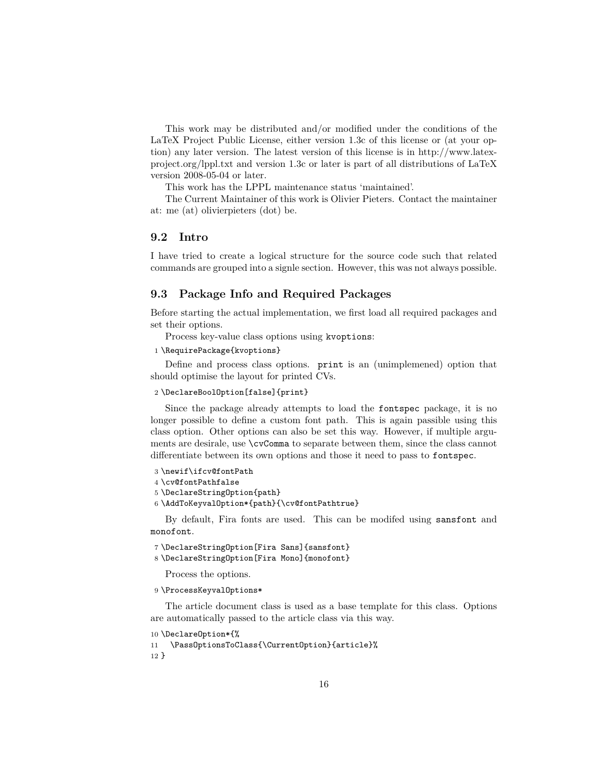This work may be distributed and/or modified under the conditions of the LaTeX Project Public License, either version 1.3c of this license or (at your option) any later version. The latest version of this license is in http://www.latexproject.org/lppl.txt and version 1.3c or later is part of all distributions of LaTeX version 2008-05-04 or later.

This work has the LPPL maintenance status 'maintained'.

The Current Maintainer of this work is Olivier Pieters. Contact the maintainer at: me (at) olivierpieters (dot) be.

### <span id="page-15-0"></span>**9.2 Intro**

I have tried to create a logical structure for the source code such that related commands are grouped into a signle section. However, this was not always possible.

#### <span id="page-15-1"></span>**9.3 Package Info and Required Packages**

Before starting the actual implementation, we first load all required packages and set their options.

Process key-value class options using kvoptions:

```
1 \RequirePackage{kvoptions}
```
Define and process class options. print is an (unimplemened) option that should optimise the layout for printed CVs.

#### 2 \DeclareBoolOption[false]{print}

Since the package already attempts to load the fontspec package, it is no longer possible to define a custom font path. This is again passible using this class option. Other options can also be set this way. However, if multiple arguments are desirale, use \cvComma to separate between them, since the class cannot differentiate between its own options and those it need to pass to fontspec.

```
3 \newif\ifcv@fontPath
4 \cv@fontPathfalse
5 \DeclareStringOption{path}
6 \AddToKeyvalOption*{path}{\cv@fontPathtrue}
```
By default, Fira fonts are used. This can be modifed using sansfont and monofont.

```
7 \DeclareStringOption[Fira Sans]{sansfont}
```

```
8 \DeclareStringOption[Fira Mono]{monofont}
```
Process the options.

```
9 \ProcessKeyvalOptions*
```
The article document class is used as a base template for this class. Options are automatically passed to the article class via this way.

```
10 \DeclareOption*{%
```

```
11 \PassOptionsToClass{\CurrentOption}{article}%
```
12 }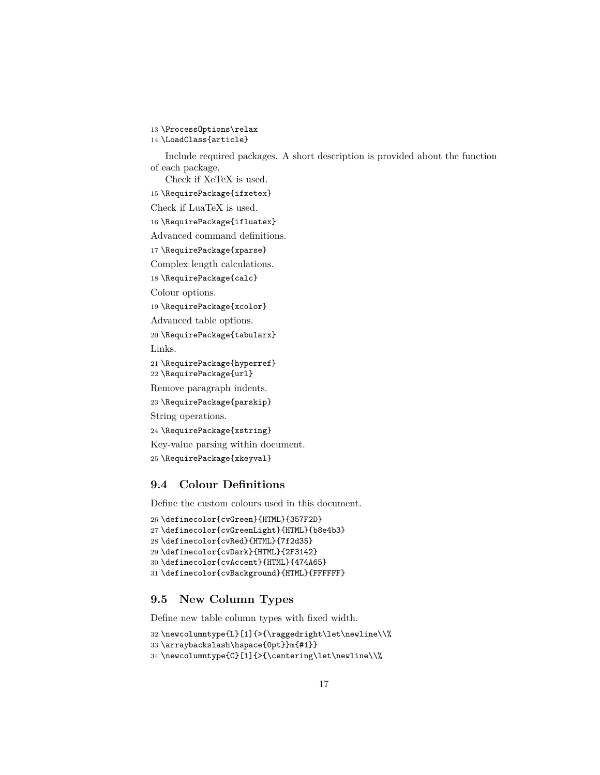13 \ProcessOptions\relax

14 \LoadClass{article}

Include required packages. A short description is provided about the function of each package.

Check if XeTeX is used.

15 \RequirePackage{ifxetex}

Check if LuaTeX is used.

16 \RequirePackage{ifluatex}

Advanced command definitions.

17 \RequirePackage{xparse}

Complex length calculations.

18 \RequirePackage{calc}

Colour options.

19 \RequirePackage{xcolor}

Advanced table options.

20 \RequirePackage{tabularx} Links.

21 \RequirePackage{hyperref}

22 \RequirePackage{url}

Remove paragraph indents.

23 \RequirePackage{parskip}

String operations.

24 \RequirePackage{xstring}

Key-value parsing within document.

25 \RequirePackage{xkeyval}

### <span id="page-16-0"></span>**9.4 Colour Definitions**

Define the custom colours used in this document.

```
26 \definecolor{cvGreen}{HTML}{357F2D}
27 \definecolor{cvGreenLight}{HTML}{b8e4b3}
28 \definecolor{cvRed}{HTML}{7f2d35}
29 \definecolor{cvDark}{HTML}{2F3142}
30 \definecolor{cvAccent}{HTML}{474A65}
31 \definecolor{cvBackground}{HTML}{FFFFFF}
```
### <span id="page-16-1"></span>**9.5 New Column Types**

Define new table column types with fixed width.

32 \newcolumntype{L}[1]{>{\raggedright\let\newline\\%

```
33 \arraybackslash\hspace{0pt}}m{#1}}
```

```
34 \newcolumntype{C}[1]{>{\centering\let\newline\\%
```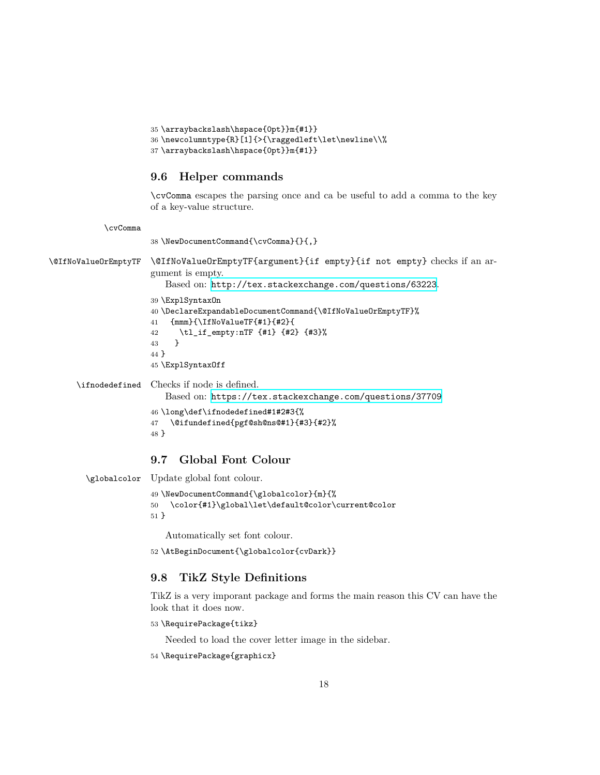```
35 \arraybackslash\hspace{0pt}}m{#1}}
36 \newcolumntype{R}[1]{>{\raggedleft\let\newline\\%
37 \arraybackslash\hspace{0pt}}m{#1}}
```
### <span id="page-17-0"></span>**9.6 Helper commands**

\cvComma escapes the parsing once and ca be useful to add a comma to the key of a key-value structure.

\cvComma

38 \NewDocumentCommand{\cvComma}{}{,}

\@IfNoValueOrEmptyTF \@IfNoValueOrEmptyTF{argument}{if empty}{if not empty} checks if an argument is empty.

Based on: <http://tex.stackexchange.com/questions/63223>.

```
39 \ExplSyntaxOn
                40 \DeclareExpandableDocumentCommand{\@IfNoValueOrEmptyTF}%
                41 {mmm}{\IfNoValueTF{#1}{#2}{
                42 \tl_if_empty:nTF {#1} {#2} {#3}%
                43 }
                44 }
                45 \ExplSyntaxOff
\ifnodedefined Checks if node is defined.
```
Based on: <https://tex.stackexchange.com/questions/37709>

```
46 \long\def\ifnodedefined#1#2#3{%
47 \@ifundefined{pgf@sh@ns@#1}{#3}{#2}%
48 }
```
### <span id="page-17-1"></span>**9.7 Global Font Colour**

```
\globalcolor Update global font colour.
```

```
49 \NewDocumentCommand{\globalcolor}{m}{%
50 \color{#1}\global\let\default@color\current@color
51 }
```
Automatically set font colour.

```
52 \AtBeginDocument{\globalcolor{cvDark}}
```
### <span id="page-17-2"></span>**9.8 TikZ Style Definitions**

TikZ is a very imporant package and forms the main reason this CV can have the look that it does now.

```
53 \RequirePackage{tikz}
```
Needed to load the cover letter image in the sidebar.

```
54 \RequirePackage{graphicx}
```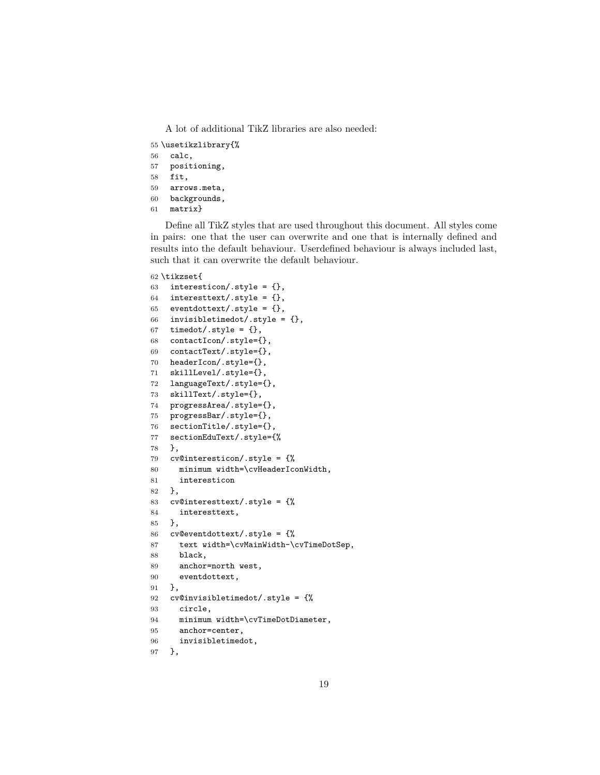A lot of additional TikZ libraries are also needed:

- \usetikzlibrary{%
- calc,
- positioning,

```
58 fit,
```
- arrows.meta,
- backgrounds,
- matrix}

Define all TikZ styles that are used throughout this document. All styles come in pairs: one that the user can overwrite and one that is internally defined and results into the default behaviour. Userdefined behaviour is always included last, such that it can overwrite the default behaviour.

#### \tikzset{

```
63 interesticon/.style = \{\},
64 interesttext/.style = \{\},
65 eventdottext/.style = \{\},
66 invisibletimedot/.style = \{\},
67 timedot/.style = \{\},
68 contactIcon/.style={},
69 contactText/.style={},
70 headerIcon/.style={},
71 skillLevel/.style={},
72 languageText/.style={},
73 skillText/.style={},
74 progressArea/.style={},
75 progressBar/.style={},
76 sectionTitle/.style={},
77 sectionEduText/.style={%
78 },
79 cv@interesticon/.style = {%
80 minimum width=\cvHeaderIconWidth,
81 interesticon
82 },
83 cv@interesttext/.style = {%
84 interesttext,
85 },
86 cv@eventdottext/.style = {%
87 text width=\cvMainWidth-\cvTimeDotSep,
88 black,
89 anchor=north west,
90 eventdottext,
91 },
92 cv@invisibletimedot/.style = {%
93 circle,
94 minimum width=\cvTimeDotDiameter,
95 anchor=center,
96 invisibletimedot,
97 },
```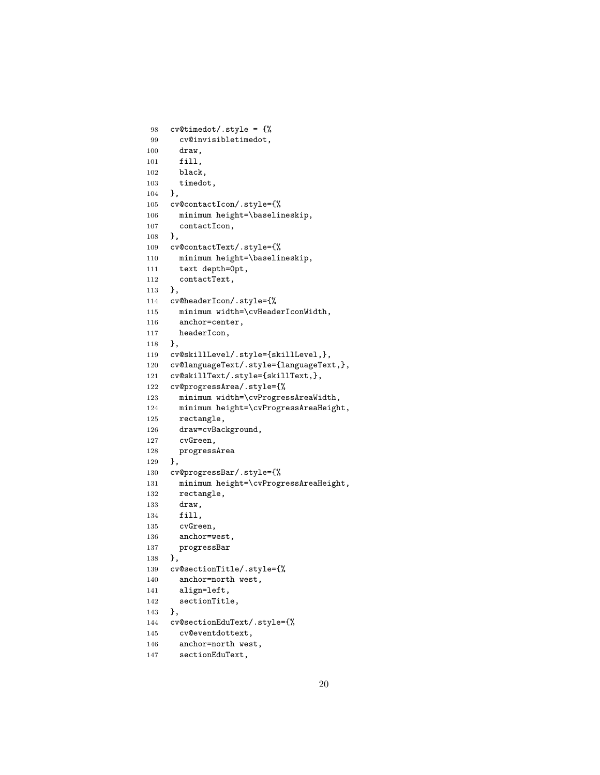```
98 cv@timedot/.style = {%
99 cv@invisibletimedot,
100 draw,
101 fill,
102 black,
103 timedot,
104 },
105 cv@contactIcon/.style={%
106 minimum height=\baselineskip,
107 contactIcon,
108 },
109 cv@contactText/.style={%
110 minimum height=\baselineskip,
111 text depth=0pt,
112 contactText,
113 },
114 cv@headerIcon/.style={%
115 minimum width=\cvHeaderIconWidth,
116 anchor=center,
117 headerIcon,
118 },
119 cv@skillLevel/.style={skillLevel,},
120 cv@languageText/.style={languageText,},
121 cv@skillText/.style={skillText,},
122 cv@progressArea/.style={%
123 minimum width=\cvProgressAreaWidth,
124 minimum height=\cvProgressAreaHeight,
125 rectangle,
126 draw=cvBackground,
127 cvGreen,
128 progressArea
129 },
130 cv@progressBar/.style={%
131 minimum height=\cvProgressAreaHeight,
132 rectangle,
133 draw,
134 fill,
135 cvGreen,
136 anchor=west,
137 progressBar
138 },
139 cv@sectionTitle/.style={%
140 anchor=north west,
141 align=left,
142 sectionTitle,
143 },
144 cv@sectionEduText/.style={%
145 cv@eventdottext,
146 anchor=north west,
```

```
147 sectionEduText,
```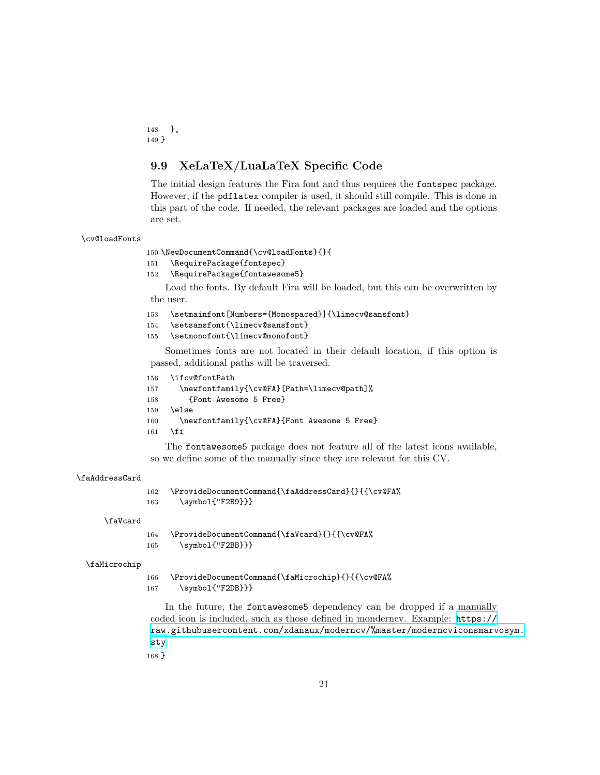148 }, 149 }

### <span id="page-20-0"></span>**9.9 XeLaTeX/LuaLaTeX Specific Code**

The initial design features the Fira font and thus requires the fontspec package. However, if the pdflatex compiler is used, it should still compile. This is done in this part of the code. If needed, the relevant packages are loaded and the options are set.

#### \cv@loadFonts

150 \NewDocumentCommand{\cv@loadFonts}{}{

- 151 \RequirePackage{fontspec}
- 152 \RequirePackage{fontawesome5}

Load the fonts. By default Fira will be loaded, but this can be overwritten by the user.

```
153 \setmainfont[Numbers={Monospaced}]{\limecv@sansfont}
```
- 154 \setsansfont{\limecv@sansfont}
- 155 \setmonofont{\limecv@monofont}

Sometimes fonts are not located in their default location, if this option is passed, additional paths will be traversed.

156 \ifcv@fontPath

```
157 \newfontfamily{\cv@FA}[Path=\limecv@path]%
158 {Font Awesome 5 Free}
159 \else
160 \newfontfamily{\cv@FA}{Font Awesome 5 Free}
161 \fi
```
The fontawesome5 package does not feature all of the latest icons available, so we define some of the manually since they are relevant for this CV.

#### \faAddressCard

```
162 \ProvideDocumentCommand{\faAddressCard}{}{{\cv@FA%
163 \symbol{"F2B9}}}
```
#### \faVcard

164 \ProvideDocumentCommand{\faVcard}{}{{\cv@FA%

165 \symbol{"F2BB}}}

#### \faMicrochip

166 \ProvideDocumentCommand{\faMicrochip}{}{{\cv@FA%

167 \symbol{"F2DB}}}

In the future, the fontawesome5 dependency can be dropped if a manually coded icon is included, such as those defined in monderncv. Example: [https://](https://raw.githubusercontent.com/xdanaux/moderncv/% master/moderncviconsmarvosym.sty) [raw.githubusercontent.com/xdanaux/moderncv/%master/moderncviconsmarvosym.](https://raw.githubusercontent.com/xdanaux/moderncv/% master/moderncviconsmarvosym.sty) [sty](https://raw.githubusercontent.com/xdanaux/moderncv/% master/moderncviconsmarvosym.sty)

168 }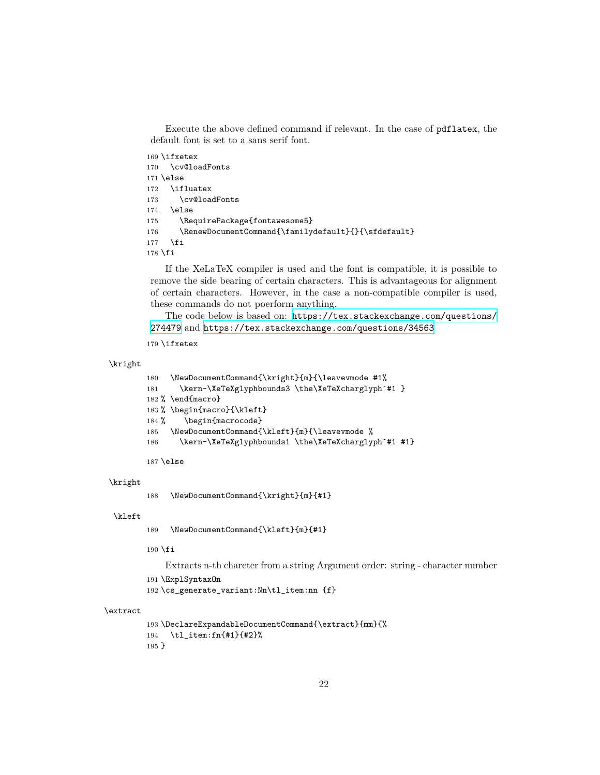Execute the above defined command if relevant. In the case of pdflatex, the default font is set to a sans serif font.

```
169 \ifxetex
170 \cv@loadFonts
171 \else
172 \ifluatex
173 \cv@loadFonts
174 \else
175 \RequirePackage{fontawesome5}
176 \RenewDocumentCommand{\familydefault}{}{\sfdefault}
177 \fi
178 \fi
```
If the XeLaTeX compiler is used and the font is compatible, it is possible to remove the side bearing of certain characters. This is advantageous for alignment of certain characters. However, in the case a non-compatible compiler is used, these commands do not poerform anything.

The code below is based on: [https://tex.stackexchange.com/questions/](https://tex.stackexchange.com/questions/274479) [274479](https://tex.stackexchange.com/questions/274479) and <https://tex.stackexchange.com/questions/34563>

```
179 \ifxetex
```
#### \kright

```
180 \NewDocumentCommand{\kright}{m}{\leavevmode #1%
181 \kern-\XeTeXglyphbounds3 \the\XeTeXcharglyph`#1 }
182 % \end{macro}
183 % \begin{macro}{\kleft}
184 % \begin{macrocode}
185 \NewDocumentCommand{\kleft}{m}{\leavevmode %
186 \kern-\XeTeXglyphbounds1 \the\XeTeXcharglyph`#1 #1}
```
187 \else

#### \kright

188 \NewDocumentCommand{\kright}{m}{#1}

#### \kleft

189 \NewDocumentCommand{\kleft}{m}{#1}

 $190$  \fi

Extracts n-th charcter from a string Argument order: string - character number

191 \ExplSyntaxOn

192 \cs\_generate\_variant:Nn\tl\_item:nn {f}

#### \extract

```
193 \DeclareExpandableDocumentCommand{\extract}{mm}{%
194 \tl_item:fn{#1}{#2}%
195 }
```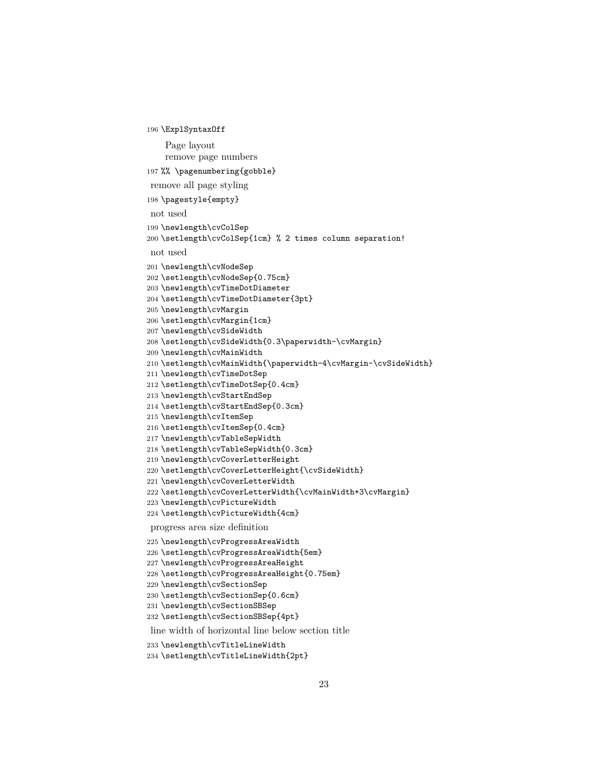```
196 \ExplSyntaxOff
```

```
Page layout
    remove page numbers
197 %% \pagenumbering{gobble}
remove all page styling
198 \pagestyle{empty}
not used
199 \newlength\cvColSep
200 \setlength\cvColSep{1cm} % 2 times column separation!
not used
201 \newlength\cvNodeSep
202 \setlength\cvNodeSep{0.75cm}
203 \newlength\cvTimeDotDiameter
204 \setlength\cvTimeDotDiameter{3pt}
205 \newlength\cvMargin
206 \setlength\cvMargin{1cm}
207 \newlength\cvSideWidth
208 \setlength\cvSideWidth{0.3\paperwidth-\cvMargin}
209 \newlength\cvMainWidth
210 \setlength\cvMainWidth{\paperwidth-4\cvMargin-\cvSideWidth}
211 \newlength\cvTimeDotSep
212 \setlength\cvTimeDotSep{0.4cm}
213 \newlength\cvStartEndSep
214 \setlength\cvStartEndSep{0.3cm}
215 \newlength\cvItemSep
216 \setlength\cvItemSep{0.4cm}
217 \newlength\cvTableSepWidth
218 \setlength\cvTableSepWidth{0.3cm}
219 \newlength\cvCoverLetterHeight
220 \setlength\cvCoverLetterHeight{\cvSideWidth}
221 \newlength\cvCoverLetterWidth
222 \setlength\cvCoverLetterWidth{\cvMainWidth+3\cvMargin}
223 \newlength\cvPictureWidth
224 \setlength\cvPictureWidth{4cm}
progress area size definition
```
 \newlength\cvProgressAreaWidth \setlength\cvProgressAreaWidth{5em} \newlength\cvProgressAreaHeight \setlength\cvProgressAreaHeight{0.75em} \newlength\cvSectionSep \setlength\cvSectionSep{0.6cm} \newlength\cvSectionSBSep \setlength\cvSectionSBSep{4pt} line width of horizontal line below section title

\newlength\cvTitleLineWidth

```
234 \setlength\cvTitleLineWidth{2pt}
```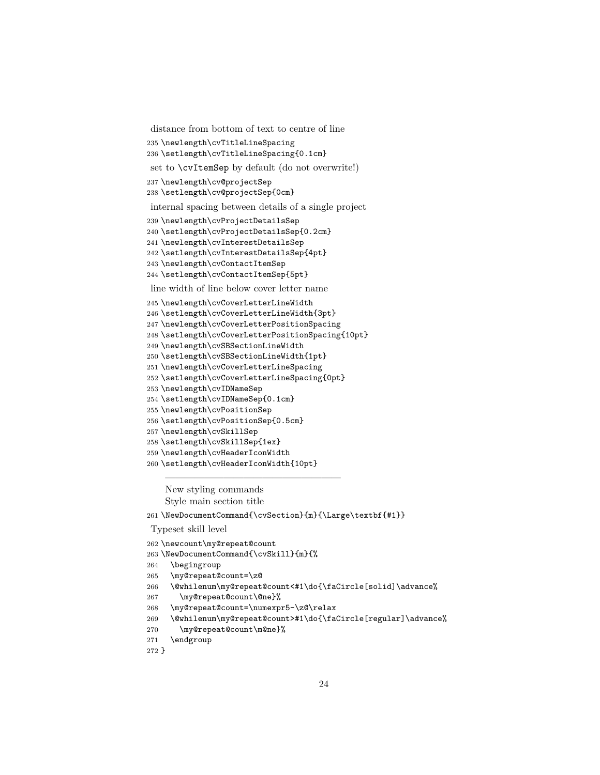```
distance from bottom of text to centre of line
```
- \newlength\cvTitleLineSpacing
- \setlength\cvTitleLineSpacing{0.1cm}
- set to \cvItemSep by default (do not overwrite!)
- \newlength\cv@projectSep
- \setlength\cv@projectSep{0cm}
- internal spacing between details of a single project
- \newlength\cvProjectDetailsSep
- \setlength\cvProjectDetailsSep{0.2cm}
- \newlength\cvInterestDetailsSep
- \setlength\cvInterestDetailsSep{4pt}
- \newlength\cvContactItemSep
- \setlength\cvContactItemSep{5pt}

line width of line below cover letter name

- \newlength\cvCoverLetterLineWidth
- \setlength\cvCoverLetterLineWidth{3pt}
- \newlength\cvCoverLetterPositionSpacing
- \setlength\cvCoverLetterPositionSpacing{10pt}
- \newlength\cvSBSectionLineWidth
- \setlength\cvSBSectionLineWidth{1pt}
- \newlength\cvCoverLetterLineSpacing
- \setlength\cvCoverLetterLineSpacing{0pt}
- \newlength\cvIDNameSep
- \setlength\cvIDNameSep{0.1cm}
- \newlength\cvPositionSep
- \setlength\cvPositionSep{0.5cm}
- \newlength\cvSkillSep
- \setlength\cvSkillSep{1ex}
- \newlength\cvHeaderIconWidth
- \setlength\cvHeaderIconWidth{10pt}

——————————————————

New styling commands Style main section title

\NewDocumentCommand{\cvSection}{m}{\Large\textbf{#1}}

#### Typeset skill level

\newcount\my@repeat@count

- \NewDocumentCommand{\cvSkill}{m}{%
- \begingroup
- \my@repeat@count=\z@
- \@whilenum\my@repeat@count<#1\do{\faCircle[solid]\advance%
- \my@repeat@count\@ne}%
- \my@repeat@count=\numexpr5-\z@\relax
- \@whilenum\my@repeat@count>#1\do{\faCircle[regular]\advance%
- \my@repeat@count\m@ne}%
- \endgroup

```
272 }
```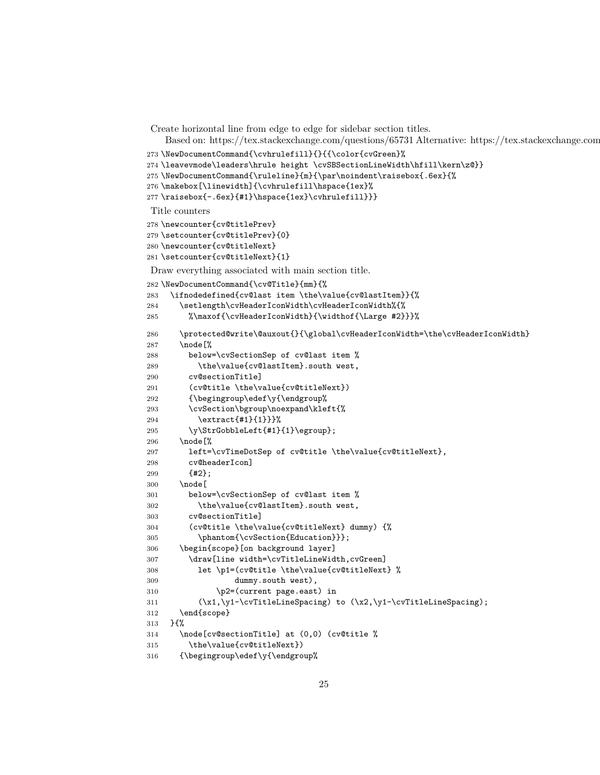Create horizontal line from edge to edge for sidebar section titles.

Based on: https://tex.stackexchange.com/questions/65731 Alternative: https://tex.stackexchange.com/questions/15119

```
273 \NewDocumentCommand{\cvhrulefill}{}{{\color{cvGreen}%
```
\leavevmode\leaders\hrule height \cvSBSectionLineWidth\hfill\kern\z@}}

```
275 \NewDocumentCommand{\ruleline}{m}{\par\noindent\raisebox{.6ex}{%
```

```
276 \makebox[\linewidth]{\cvhrulefill\hspace{1ex}%
```

```
277 \raisebox{-.6ex}{#1}\hspace{1ex}\cvhrulefill}}}
```
Title counters

```
278 \newcounter{cv@titlePrev}
279 \setcounter{cv@titlePrev}{0}
280 \newcounter{cv@titleNext}
281 \setcounter{cv@titleNext}{1}
Draw everything associated with main section title.
282 \NewDocumentCommand{\cv@Title}{mm}{%
283 \ifnodedefined{cv@last item \the\value{cv@lastItem}}{%
284 \setlength\cvHeaderIconWidth\cvHeaderIconWidth%{%
285 %\maxof{\cvHeaderIconWidth}{\widthof{\Large #2}}}%
286 \qquad \texttt{\textbf}\{\qquad\c{vHeaderIcomWidth=}\the\c{vHeaderIcomWidth=}\}287 \node[%
288 below=\cvSectionSep of cv@last item %
289 \the\value{cv@lastItem}.south west,
290 cv@sectionTitle]
291 (cv@title \the\value{cv@titleNext})
292 {\begingroup\edef\y{\endgroup%
293 \cvSection\bgroup\noexpand\kleft{%
294 \extract{#1}{1}}}%
295 \\therp\\filt{\pidebbleLeft{#1}{1}\egroup};
296 \node[%
297 left=\cvTimeDotSep of cv@title \the\value{cv@titleNext},
298 cv@headerIcon]
299 {#2};
300 \node[
301 below=\cvSectionSep of cv@last item %
302 \the\value{cv@lastItem}.south west,
303 cv@sectionTitle]
304 (cv@title \the\value{cv@titleNext} dummy) {%
305 \phantom{\cvSection{Education}}};
306 \begin{scope}[on background layer]
307 \draw[line width=\cvTitleLineWidth,cvGreen]
308 let \p1=(cv@title \the\value{cv@titleNext} %
309 dummy.south west),
310 \quad \text{bp2}=(current page.east) in311 (\x1,\y1-\cvTitleLineSpacing) to (\x2,\y1-\cvTitleLineSpacing);
312 \end{scope}
313 }{%
314 \node[cv@sectionTitle] at (0,0) (cv@title %
315 \the\value{cv@titleNext})
316 {\begingroup\edef\y{\endgroup%
```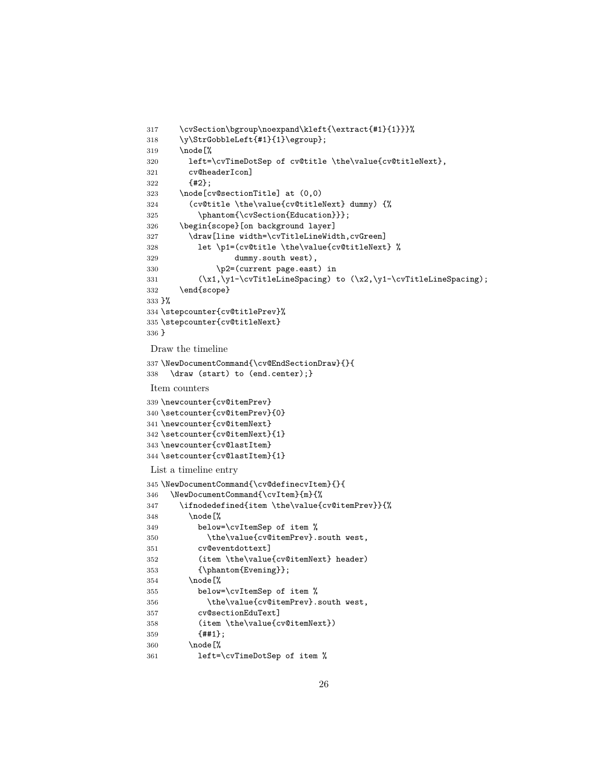```
317 \cvSection\bgroup\noexpand\kleft{\extract{#1}{1}}}%
318 \y\StrGobbleLeft{#1}{1}\egroup};
319 \node[%
320 left=\cvTimeDotSep of cv@title \the\value{cv@titleNext},
321 cv@headerIcon]
322 {#2};
323 \node[cv@sectionTitle] at (0,0)
324 (cv@title \the\value{cv@titleNext} dummy) {%
325 \phantom{\cvSection{Education}}};
326 \begin{scope}[on background layer]
327 \draw[line width=\cvTitleLineWidth,cvGreen]
328 let \p1=(cv@title \the\value{cv@titleNext} %
329 dummy.south west),
330 \quad \text{p2}=(current \text{page.east}) \text{ in}331 (\x1,\y1-\cvTitleLineSpacing) to (\x2,\y1-\cvTitleLineSpacing);
332 \end{scope}
333 }%
334 \stepcounter{cv@titlePrev}%
335 \stepcounter{cv@titleNext}
336 }
Draw the timeline
337 \NewDocumentCommand{\cv@EndSectionDraw}{}{
338 \draw (start) to (end.center);}
Item counters
339 \newcounter{cv@itemPrev}
340 \setcounter{cv@itemPrev}{0}
341 \newcounter{cv@itemNext}
342 \setcounter{cv@itemNext}{1}
343 \newcounter{cv@lastItem}
344 \setcounter{cv@lastItem}{1}
List a timeline entry
345 \NewDocumentCommand{\cv@definecvItem}{}{
346 \NewDocumentCommand{\cvItem}{m}{%
347 \ifnodedefined{item \the\value{cv@itemPrev}}{%
348 \node[%
349 below=\cvItemSep of item %
350 \the\value{cv@itemPrev}.south west,
351 cv@eventdottext]
352 (item \the\value{cv@itemNext} header)
353 {\phantom{Evening}};
354 \node[%
355 below=\cvItemSep of item %
356 \the\value{cv@itemPrev}.south west,
357 cv@sectionEduText]
358 (item \the\value{cv@itemNext})
359 {##1};
360 \node[%
361 left=\cvTimeDotSep of item %
```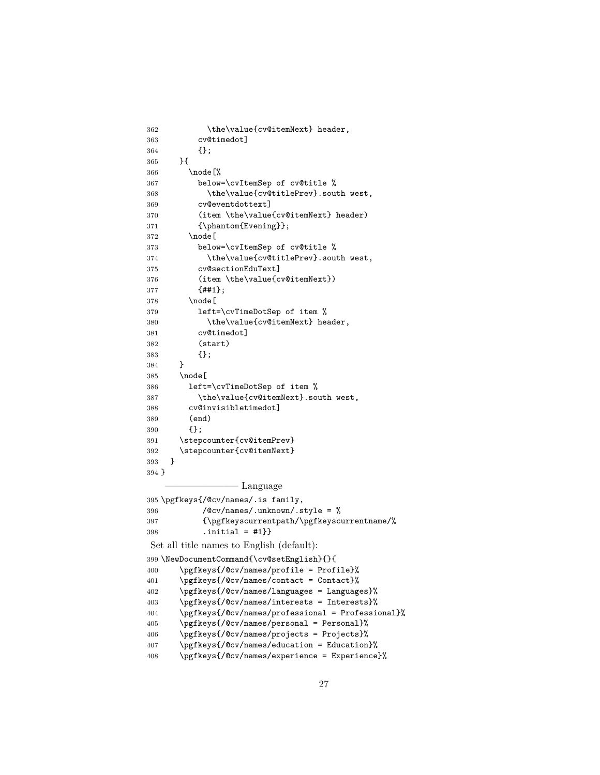| 362   | \the\value{cv@itemNext} header,                   |
|-------|---------------------------------------------------|
| 363   | cv@timedot]                                       |
| 364   | {}:                                               |
| 365   | }{                                                |
| 366   | \node[%                                           |
| 367   | below=\cvItemSep of cv@title %                    |
| 368   | \the\value{cv@titlePrev}.south west,              |
| 369   | cv@eventdottext]                                  |
| 370   | (item \the\value{cv@itemNext} header)             |
| 371   | ${\phi}$ :                                        |
| 372   | \node[                                            |
| 373   | below=\cvItemSep of cv@title %                    |
| 374   | \the\value{cv@titlePrev}.south west,              |
| 375   | cv@sectionEduText]                                |
| 376   | (item \the\value{cv@itemNext})                    |
| 377   | ${#1};$                                           |
| 378   | \node[                                            |
| 379   | left=\cvTimeDotSep of item %                      |
| 380   | \the\value{cv@itemNext} header,                   |
| 381   | cv@timedot]                                       |
| 382   | (start)                                           |
| 383   | $\{\}$ ;                                          |
| 384   | }                                                 |
| 385   | \node[                                            |
| 386   | left=\cvTimeDotSep of item %                      |
| 387   | \the\value{cv@itemNext}.south west,               |
| 388   | cv@invisibletimedot]                              |
| 389   | (end)                                             |
| 390   | {};                                               |
| 391   | \stepcounter{cv@itemPrev}                         |
| 392   | \stepcounter{cv@itemNext}                         |
| 393   | }                                                 |
| 394 } |                                                   |
|       | Language                                          |
|       | 395 \pgfkeys{/@cv/names/.is family,               |
| 396   | /@cv/names/.unknown/.style = %                    |
| 397   | {\pgfkeyscurrentpath/\pgfkeyscurrentname/%        |
| 398   | .initial = $#1$ }}                                |
|       | Set all title names to English (default):         |
|       | 399 \NewDocumentCommand{\cv@setEnglish}{}{        |
| 400   | \pgfkeys{/@cv/names/profile = Profile}%           |
| 401   | \pgfkeys{/@cv/names/contact = Contact}%           |
| 402   | \pgfkeys{/@cv/names/languages = Languages}%       |
| 403   | \pgfkeys{/@cv/names/interests = Interests}%       |
| 404   | \pgfkeys{/@cv/names/professional = Professional}% |
| 405   | \pgfkeys{/@cv/names/personal = Personal}%         |
| 406   | \pgfkeys{/@cv/names/projects = Projects}%         |
| 407   | \pgfkeys{/@cv/names/education = Education}%       |
| 408   | \pgfkeys{/@cv/names/experience = Experience}%     |
|       |                                                   |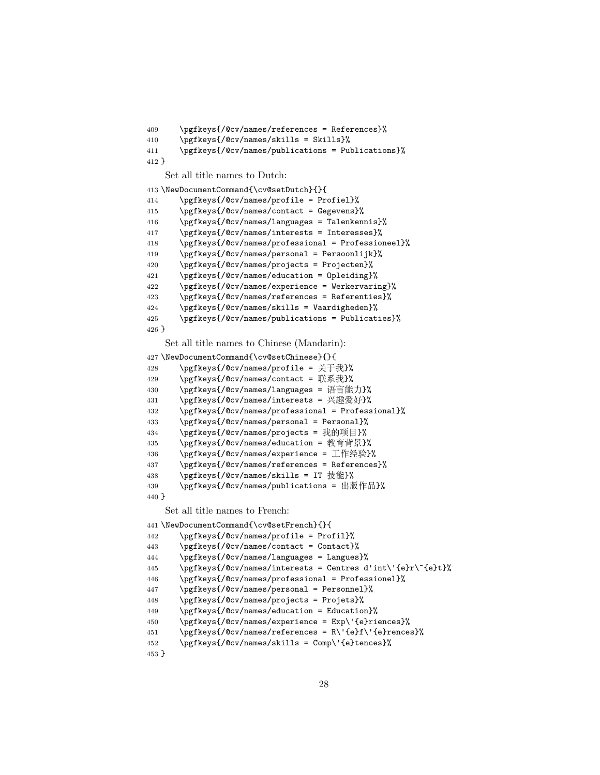```
409 \pgfkeys{/@cv/names/references = References}%
410 \pgfkeys{/@cv/names/skills = Skills}%
411 \pgfkeys{/@cv/names/publications = Publications}%
412 }
    Set all title names to Dutch:
413 \NewDocumentCommand{\cv@setDutch}{}{
414 \pgfkeys{/@cv/names/profile = Profiel}%
415 \pgfkeys{/@cv/names/contact = Gegevens}%
416 \pgfkeys{/@cv/names/languages = Talenkennis}%
417 \pgfkeys{/@cv/names/interests = Interesses}%
418 \pgfkeys{/@cv/names/professional = Professioneel}%
419 \pgfkeys{/@cv/names/personal = Persoonlijk}%
420 \pgfkeys{/@cv/names/projects = Projecten}%
421 \pgfkeys{/@cv/names/education = Opleiding}%
422 \pgfkeys{/@cv/names/experience = Werkervaring}%
423 \pgfkeys{/@cv/names/references = Referenties}%
424 \pgfkeys{/@cv/names/skills = Vaardigheden}%
425 \pgfkeys{/@cv/names/publications = Publicaties}%
426 }
   Set all title names to Chinese (Mandarin):
427 \NewDocumentCommand{\cv@setChinese}{}{
428 \pgfkeys{/@cv/names/profile = 关于我}%
429 \pgfkeys{/@cv/names/contact = 联系我}%
430 \pgfkeys{/@cv/names/languages = 语言能力}%
431 \pgfkeys{/@cv/names/interests = 兴趣爱好}%
432 \pgfkeys{/@cv/names/professional = Professional}%
433 \pgfkeys{/@cv/names/personal = Personal}%
434 \pgfkeys{/@cv/names/projects = 我的项目}%
435 \pgfkeys{/@cv/names/education = 教育背景}%
436 \pgfkeys{/@cv/names/experience = 工作经验}%
437 \pgfkeys{/@cv/names/references = References}%
438 \pgfkeys{/@cv/names/skills = IT 技能}%
439 \pgfkeys{/@cv/names/publications = 出版作品}%
440 }
    Set all title names to French:
441 \NewDocumentCommand{\cv@setFrench}{}{
442 \pgfkeys{/@cv/names/profile = Profil}%
443 \pgfkeys{/@cv/names/contact = Contact}%
444 \pgfkeys{/@cv/names/languages = Langues}%
445 \pgfkeys{/@cv/names/interests = Centres d'int\'{e}r\^{e}t}%
446 \pgfkeys{/@cv/names/professional = Professionel}%
447 \pgfkeys{/@cv/names/personal = Personnel}%
448 \pgfkeys{/@cv/names/projects = Projets}%
449 \pgfkeys{/@cv/names/education = Education}%
450 \pgfkeys{/@cv/names/experience = Exp\'{e}riences}%
451 \pgfkeys{/@cv/names/references = R\'{e}f\'{e}rences}%
452 \pgfkeys{/@cv/names/skills = Comp\'{e}tences}%
453 }
```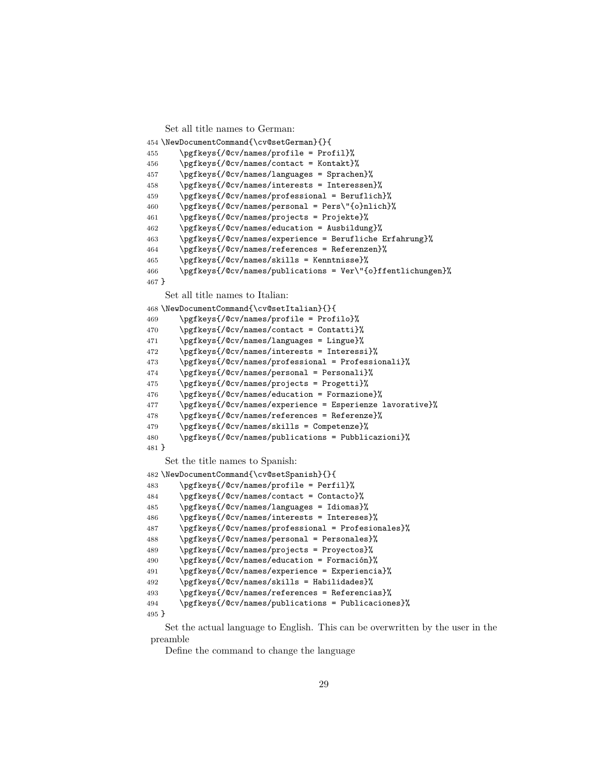```
Set all title names to German:
454 \NewDocumentCommand{\cv@setGerman}{}{
455 \pgfkeys{/@cv/names/profile = Profil}%
456 \pgfkeys{/@cv/names/contact = Kontakt}%
457 \pgfkeys{/@cv/names/languages = Sprachen}%
458 \pgfkeys{/@cv/names/interests = Interessen}%
459 \pgfkeys{/@cv/names/professional = Beruflich}%
460 \pgfkeys{/@cv/names/personal = Pers\"{o}nlich}%
461 \pgfkeys{/@cv/names/projects = Projekte}%
462 \pgfkeys{/@cv/names/education = Ausbildung}%
463 \pgfkeys{/@cv/names/experience = Berufliche Erfahrung}%
464 \pgfkeys{/@cv/names/references = Referenzen}%
465 \pgfkeys{/@cv/names/skills = Kenntnisse}%
466 \pgfkeys{/@cv/names/publications = Ver\"{o}ffentlichungen}%
467 }
    Set all title names to Italian:
468 \NewDocumentCommand{\cv@setItalian}{}{
469 \pgfkeys{/@cv/names/profile = Profilo}%
470 \pgfkeys{/@cv/names/contact = Contatti}%
471 \pgfkeys{/@cv/names/languages = Lingue}%
472 \pgfkeys{/@cv/names/interests = Interessi}%
473 \pgfkeys{/@cv/names/professional = Professionali}%
474 \pgfkeys{/@cv/names/personal = Personali}%
475 \pgfkeys{/@cv/names/projects = Progetti}%
476 \pgfkeys{/@cv/names/education = Formazione}%
477 \pgfkeys{/@cv/names/experience = Esperienze lavorative}%
478 \pgfkeys{/@cv/names/references = Referenze}%
479 \pgfkeys{/@cv/names/skills = Competenze}%
480 \pgfkeys{/@cv/names/publications = Pubblicazioni}%
481 }
    Set the title names to Spanish:
482 \NewDocumentCommand{\cv@setSpanish}{}{
483 \pgfkeys{/@cv/names/profile = Perfil}%
484 \pgfkeys{/@cv/names/contact = Contacto}%
485 \pgfkeys{/@cv/names/languages = Idiomas}%
486 \pgfkeys{/@cv/names/interests = Intereses}%
487 \pgfkeys{/@cv/names/professional = Profesionales}%
488 \pgfkeys{/@cv/names/personal = Personales}%
489 \pgfkeys{/@cv/names/projects = Proyectos}%
490 \pgfkeys{/@cv/names/education = Formación}%
491 \pgfkeys{/@cv/names/experience = Experiencia}%
492 \pgfkeys{/@cv/names/skills = Habilidades}%
493 \pgfkeys{/@cv/names/references = Referencias}%
494 \pgfkeys{/@cv/names/publications = Publicaciones}%
495 }
```
Set the actual language to English. This can be overwritten by the user in the preamble

Define the command to change the language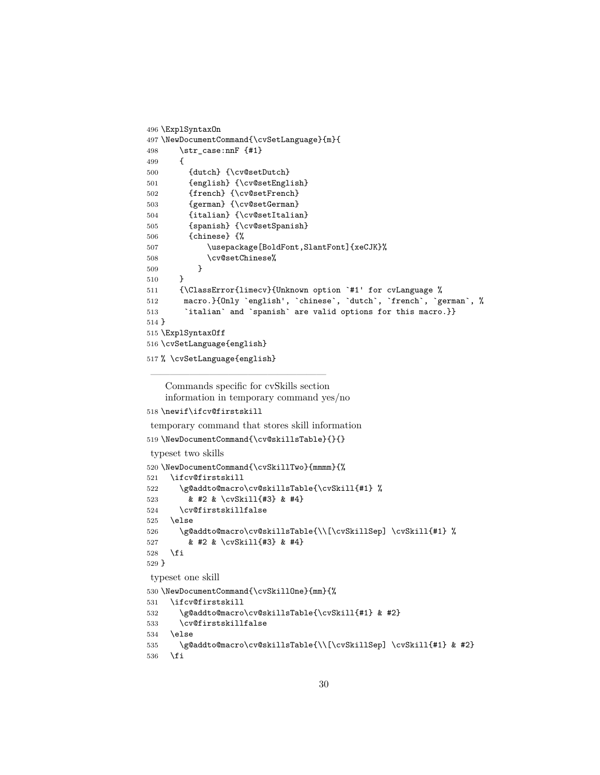```
496 \ExplSyntaxOn
497 \NewDocumentCommand{\cvSetLanguage}{m}{
498 \str_case:nnF {#1}
499 {
500 {dutch} {\cv@setDutch}
501 {english} {\cv@setEnglish}
502 {french} {\cv@setFrench}
503 {german} {\cv@setGerman}
504 {italian} {\cv@setItalian}
505 {spanish} {\cv@setSpanish}
506 {chinese} {%
507 \usepackage[BoldFont,SlantFont]{xeCJK}%
508 \cv@setChinese%
509 }
510 }
511 {\ClassError{limecv}{Unknown option `#1' for cvLanguage %
512 macro.}{Only `english', `chinese`, `dutch`, `french`, `german`, %
513 `italian' and 'spanish' are valid options for this macro.}}
514 }
515 \ExplSyntaxOff
516 \cvSetLanguage{english}
517 % \cvSetLanguage{english}
```
Commands specific for cvSkills section information in temporary command yes/no

——————————————————

```
518 \newif\ifcv@firstskill
```
temporary command that stores skill information

```
519 \NewDocumentCommand{\cv@skillsTable}{}{}
```

```
typeset two skills
```

```
520 \NewDocumentCommand{\cvSkillTwo}{mmmm}{%
521 \ifcv@firstskill
522 \g@addto@macro\cv@skillsTable{\cvSkill{#1} %
523 & #2 & \cvSkill{#3} & #4}
524 \cv@firstskillfalse
525 \leq \leq \leq \leq \leq \leq \leq \leq \leq \leq \leq \leq \leq \leq \leq \leq \leq \leq \leq \leq \leq \leq \leq \leq \leq \leq \leq \leq \leq \leq \leq \leq \leq \leq \leq \leq526 \g@addto@macro\cv@skillsTable{\\[\cvSkillSep] \cvSkill{#1} %
527 & #2 & \cvSkill{#3} & #4}
528 \fi
529 }
 typeset one skill
530 \NewDocumentCommand{\cvSkillOne}{mm}{%
531 \ifcv@firstskill
532 \g@addto@macro\cv@skillsTable{\cvSkill{#1} & #2}
533 \cv@firstskillfalse
534 \else
535 \g@addto@macro\cv@skillsTable{\\[\cvSkillSep] \cvSkill{#1} & #2}
536 \fi
```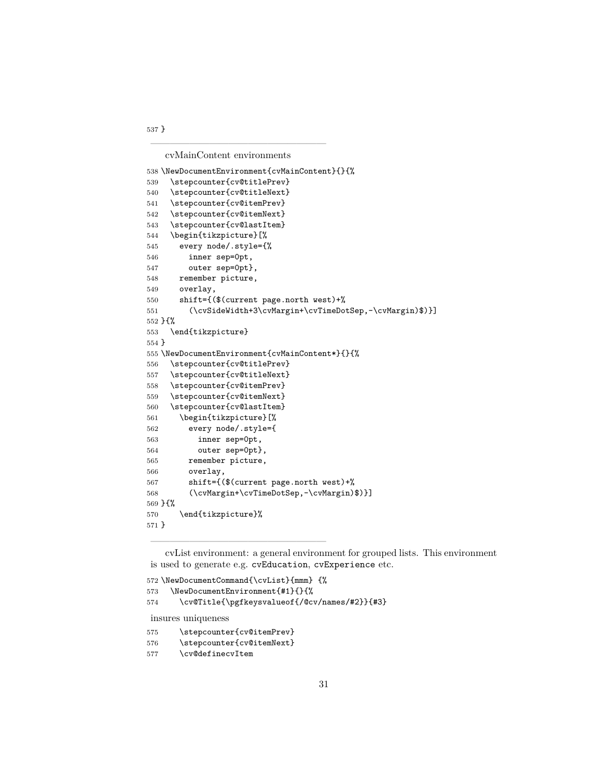cvMainContent environments

——————————————————

```
538 \NewDocumentEnvironment{cvMainContent}{}{%
539 \stepcounter{cv@titlePrev}
540 \stepcounter{cv@titleNext}
541 \stepcounter{cv@itemPrev}
542 \stepcounter{cv@itemNext}
543 \stepcounter{cv@lastItem}
544 \begin{tikzpicture}[%
545 every node/.style={%
546 inner sep=0pt,
547 outer sep=0pt},
548 remember picture,
549 overlay,
550 shift={($(current page.north west)+%
551 (\cvSideWidth+3\cvMargin+\cvTimeDotSep,-\cvMargin)$)}]
552 }{%
553 \end{tikzpicture}
554 }
555 \NewDocumentEnvironment{cvMainContent*}{}{%
556 \stepcounter{cv@titlePrev}
557 \stepcounter{cv@titleNext}
558 \stepcounter{cv@itemPrev}
559 \stepcounter{cv@itemNext}
560 \stepcounter{cv@lastItem}
561 \begin{tikzpicture}[%
562 every node/.style={
563 inner sep=0pt,
564 outer sep=0pt},
565 remember picture,
566 overlay,
567 shift={($(current page.north west)+%
568 (\cvMargin+\cvTimeDotSep,-\cvMargin)$)}]
569 }{%
570 \end{tikzpicture}%
571 }
```
cvList environment: a general environment for grouped lists. This environment is used to generate e.g. cvEducation, cvExperience etc.

```
572 \NewDocumentCommand{\cvList}{mmm} {%
573 \NewDocumentEnvironment{#1}{}{%
574 \cv@Title{\pgfkeysvalueof{/@cv/names/#2}}{#3}
insures uniqueness
```

```
575 \stepcounter{cv@itemPrev}
576 \stepcounter{cv@itemNext}
577 \cv@definecvItem
```
——————————————————

}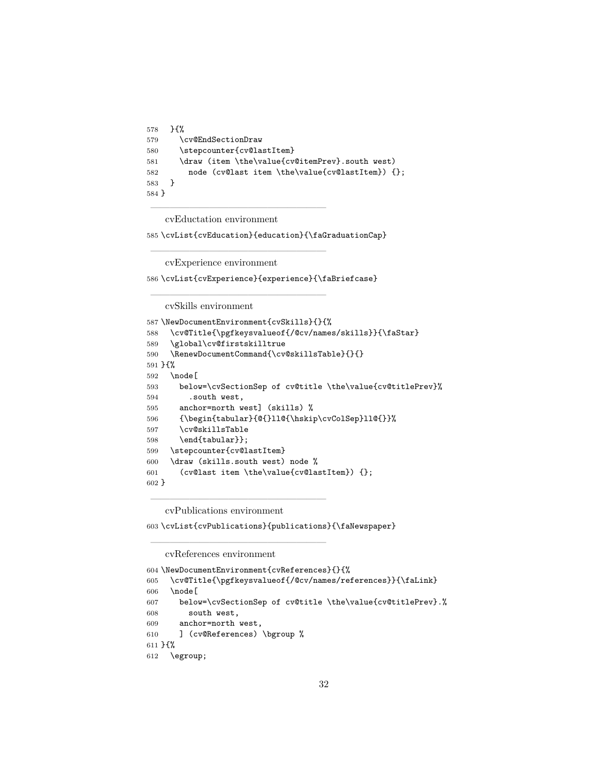```
578 }{%
579 \cv@EndSectionDraw
580 \stepcounter{cv@lastItem}
581 \draw (item \the\value{cv@itemPrev}.south west)
582 node (cv@last item \the\value{cv@lastItem}) {};
583 }
584 }
```
cvEductation environment

——————————————————

——————————————————

——————————————————

\cvList{cvEducation}{education}{\faGraduationCap}

cvExperience environment

\cvList{cvExperience}{experience}{\faBriefcase}

cvSkills environment

```
587 \NewDocumentEnvironment{cvSkills}{}{%
588 \cv@Title{\pgfkeysvalueof{/@cv/names/skills}}{\faStar}
589 \global\cv@firstskilltrue
590 \RenewDocumentCommand{\cv@skillsTable}{}{}
591 }{%
592 \node[
593 below=\cvSectionSep of cv@title \the\value{cv@titlePrev}%
594 .south west,
595 anchor=north west] (skills) %
596 {\begin{tabular}{@{}ll@{\hskip\cvColSep}ll@{}}%
597 \cv@skillsTable
598 \end{tabular}};
599 \stepcounter{cv@lastItem}
600 \draw (skills.south west) node %
601 (cv@last item \the\value{cv@lastItem}) {};
602 }
```
cvPublications environment

——————————————————

——————————————————

\cvList{cvPublications}{publications}{\faNewspaper}

cvReferences environment

```
604 \NewDocumentEnvironment{cvReferences}{}{%
605 \cv@Title{\pgfkeysvalueof{/@cv/names/references}}{\faLink}
606 \node[
607 below=\cvSectionSep of cv@title \the\value{cv@titlePrev}.%
608 south west,
609 anchor=north west,
610 ] (cv@References) \bgroup %
611 }{%
612 \egroup;
```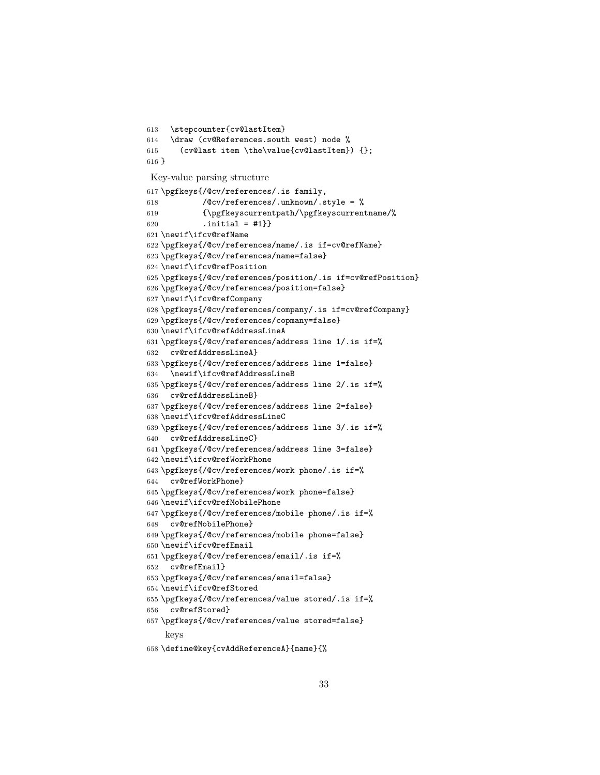```
613 \stepcounter{cv@lastItem}
614 \draw (cv@References.south west) node %
615 (cv@last item \the\value{cv@lastItem}) {};
616 }
Key-value parsing structure
617 \pgfkeys{/@cv/references/.is family,
618 /@cv/references/.unknown/.style = %
619 {\pgfkeyscurrentpath/\pgfkeyscurrentname/%
620 .initial = \#1}
621 \newif\ifcv@refName
622 \pgfkeys{/@cv/references/name/.is if=cv@refName}
623 \pgfkeys{/@cv/references/name=false}
624 \newif\ifcv@refPosition
625 \pgfkeys{/@cv/references/position/.is if=cv@refPosition}
626 \pgfkeys{/@cv/references/position=false}
627 \newif\ifcv@refCompany
628 \pgfkeys{/@cv/references/company/.is if=cv@refCompany}
629 \pgfkeys{/@cv/references/copmany=false}
630 \newif\ifcv@refAddressLineA
631 \pgfkeys{/@cv/references/address line 1/.is if=%
632 cv@refAddressLineA}
633 \pgfkeys{/@cv/references/address line 1=false}
634 \newif\ifcv@refAddressLineB
635 \pgfkeys{/@cv/references/address line 2/.is if=%
636 cv@refAddressLineB}
637 \pgfkeys{/@cv/references/address line 2=false}
638 \newif\ifcv@refAddressLineC
639 \pgfkeys{/@cv/references/address line 3/.is if=%
640 cv@refAddressLineC}
641 \pgfkeys{/@cv/references/address line 3=false}
642 \newif\ifcv@refWorkPhone
643 \pgfkeys{/@cv/references/work phone/.is if=%
644 cv@refWorkPhone}
645 \pgfkeys{/@cv/references/work phone=false}
646 \newif\ifcv@refMobilePhone
647 \pgfkeys{/@cv/references/mobile phone/.is if=%
648 cv@refMobilePhone}
649 \pgfkeys{/@cv/references/mobile phone=false}
650 \newif\ifcv@refEmail
651 \pgfkeys{/@cv/references/email/.is if=%
652 cv@refEmail}
653 \pgfkeys{/@cv/references/email=false}
654 \newif\ifcv@refStored
655 \pgfkeys{/@cv/references/value stored/.is if=%
656 cv@refStored}
657 \pgfkeys{/@cv/references/value stored=false}
    keys
```

```
658 \define@key{cvAddReferenceA}{name}{%
```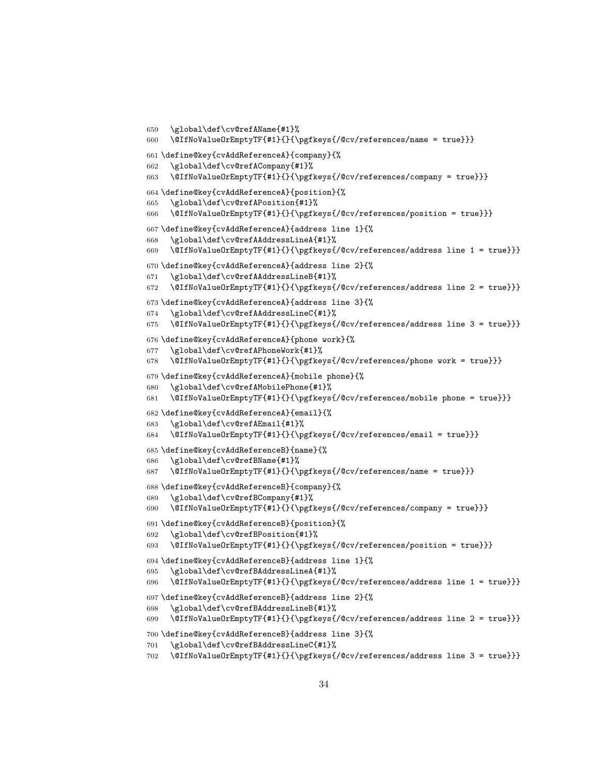```
659 \global\def\cv@refAName{#1}%
660 \@IfNoValueOrEmptyTF{#1}{}{\pgfkeys{/@cv/references/name = true}}}
661 \define@key{cvAddReferenceA}{company}{%
662 \global\def\cv@refACompany{#1}%
663 \@IfNoValueOrEmptyTF{#1}{}{\pgfkeys{/@cv/references/company = true}}}
664 \define@key{cvAddReferenceA}{position}{%
665 \global\def\cv@refAPosition{#1}%
666 \@IfNoValueOrEmptyTF{#1}{}{\pgfkeys{/@cv/references/position = true}}}
667 \define@key{cvAddReferenceA}{address line 1}{%
668 \global\def\cv@refAAddressLineA{#1}%
669 \@IfNoValueOrEmptyTF{#1}{}{\pgfkeys{/@cv/references/address line 1 = true}}}
670 \define@key{cvAddReferenceA}{address line 2}{%
671 \global\def\cv@refAAddressLineB{#1}%
672 \@IfNoValueOrEmptyTF{#1}{}{\pgfkeys{/@cv/references/address line 2 = true}}}
673 \define@key{cvAddReferenceA}{address line 3}{%
674 \global\def\cv@refAAddressLineC{#1}%
675 \@IfNoValueOrEmptyTF{#1}{}{\pgfkeys{/@cv/references/address line 3 = true}}}
676 \define@key{cvAddReferenceA}{phone work}{%
677 \global\def\cv@refAPhoneWork{#1}%
678 \@IfNoValueOrEmptyTF{#1}{}{\pgfkeys{/@cv/references/phone work = true}}}
679 \define@key{cvAddReferenceA}{mobile phone}{%
680 \global\def\cv@refAMobilePhone{#1}%
681 \@IfNoValueOrEmptyTF{#1}{}{\pgfkeys{/@cv/references/mobile phone = true}}}
682 \define@key{cvAddReferenceA}{email}{%
683 \global\def\cv@refAEmail{#1}%
684 \@IfNoValueOrEmptyTF{#1}{}{\pgfkeys{/@cv/references/email = true}}}
685 \define@key{cvAddReferenceB}{name}{%
686 \global\def\cv@refBName{#1}%
687 \@IfNoValueOrEmptyTF{#1}{}{\pgfkeys{/@cv/references/name = true}}}
688 \define@key{cvAddReferenceB}{company}{%
689 \global\def\cv@refBCompany{#1}%
690 \@IfNoValueOrEmptyTF{#1}{}{\pgfkeys{/@cv/references/company = true}}}
691 \define@key{cvAddReferenceB}{position}{%
692 \global\def\cv@refBPosition{#1}%
693 \@IfNoValueOrEmptyTF{#1}{}{\pgfkeys{/@cv/references/position = true}}}
694 \define@key{cvAddReferenceB}{address line 1}{%
695 \global\def\cv@refBAddressLineA{#1}%
696 \@IfNoValueOrEmptyTF{#1}{}{\pgfkeys{/@cv/references/address line 1 = true}}}
697 \define@key{cvAddReferenceB}{address line 2}{%
698 \global\def\cv@refBAddressLineB{#1}%
699 \@IfNoValueOrEmptyTF{#1}{}{\pgfkeys{/@cv/references/address line 2 = true}}}
700 \define@key{cvAddReferenceB}{address line 3}{%
701 \global\def\cv@refBAddressLineC{#1}%
702 \@IfNoValueOrEmptyTF{#1}{}{\pgfkeys{/@cv/references/address line 3 = true}}}
```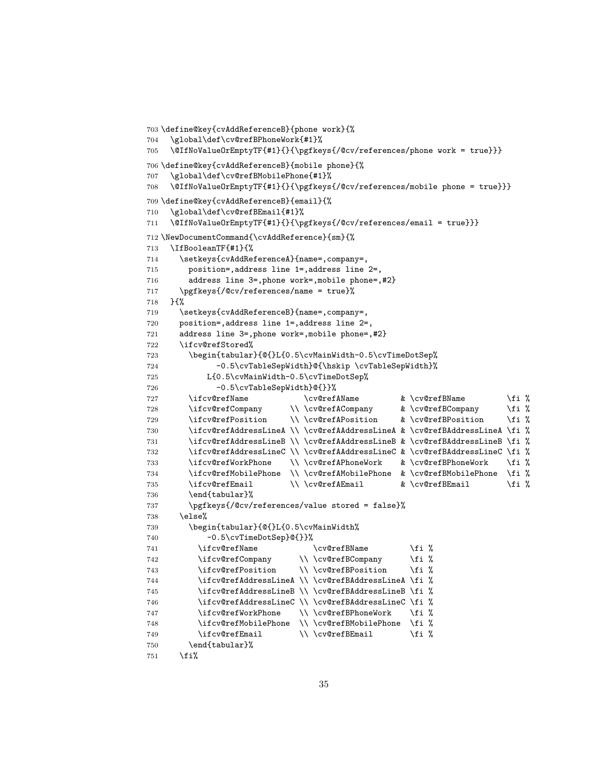```
703 \define@key{cvAddReferenceB}{phone work}{%
704 \global\def\cv@refBPhoneWork{#1}%
705 \@IfNoValueOrEmptyTF{#1}{}{\pgfkeys{/@cv/references/phone work = true}}}
706 \define@key{cvAddReferenceB}{mobile phone}{%
707 \global\def\cv@refBMobilePhone{#1}%
708 \@IfNoValueOrEmptyTF{#1}{}{\pgfkeys{/@cv/references/mobile phone = true}}}
709 \define@key{cvAddReferenceB}{email}{%
710 \global\def\cv@refBEmail{#1}%
711 \@IfNoValueOrEmptyTF{#1}{}{\pgfkeys{/@cv/references/email = true}}}
712 \NewDocumentCommand{\cvAddReference}{sm}{%
713 \IfBooleanTF{#1}{%
714 \setkeys{cvAddReferenceA}{name=,company=,
715 position=,address line 1=,address line 2=,
716 address line 3=,phone work=,mobile phone=,#2}
717 \pgfkeys{/@cv/references/name = true}%
718 }{%
719 \setkeys{cvAddReferenceB}{name=,company=,
720 position=,address line 1=,address line 2=,
721 address line 3=,phone work=,mobile phone=,#2}
722 \ifcv@refStored%
723 \begin{tabular}{@{}L{0.5\cvMainWidth-0.5\cvTimeDotSep%
724 -0.5\cvTableSepWidth}@{\hskip \cvTableSepWidth}%
725 L{0.5\cvMainWidth-0.5\cvTimeDotSep%
726 -0.5\cvTableSepWidth}@{}}%
727 \ifcv@refName \cv@refAName & \cv@refBName \fi %
728 \ifcv@refCompany \\\cv@refACompany & \cv@refBCompany \fi %
729 \ifcv@refPosition \\ \cv@refAPosition & \cv@refBPosition \fi %
730 \ifcv@refAddressLineA \\ \cv@refAAddressLineA & \cv@refBAddressLineA \fi %
731 \ifcv@refAddressLineB \\ \cv@refAAddressLineB & \cv@refBAddressLineB \fi %
732 \ifcv@refAddressLineC \\ \cv@refAAddressLineC & \cv@refBAddressLineC \fi %
733 \ifcv@refWorkPhone \\ \cv@refAPhoneWork & \cv@refBPhoneWork \fi %
734 \ifcv@refMobilePhone \\ \cv@refAMobilePhone & \cv@refBMobilePhone \fi %
735 \ifcv@refEmail \\\cv@refAEmail & \cv@refBEmail \fi %
736 \end{tabular}%
737 \pgfkeys{/@cv/references/value stored = false}%
738 \else%
739 \begin{tabular}{@{}L{0.5\cvMainWidth%
740 -0.5\cvTimeDotSep}@{}}%
741 \ifcv@refName \cv@refBName \fi %
742 \ifcv@refCompany \\ \cv@refBCompany \fi %
743 \ifcv@refPosition \\ \cv@refBPosition \fi %
744 \ifcv@refAddressLineA \\ \cv@refBAddressLineA \fi %
745 \ifcv@refAddressLineB \\ \cv@refBAddressLineB \fi %
746 \ifcv@refAddressLineC \\ \cv@refBAddressLineC \fi %
747 \ifcv@refWorkPhone \\\cv@refBPhoneWork \fi %
748 \ifcv@refMobilePhone \\ \cv@refBMobilePhone \fi %
749 \ifcv@refEmail \\\cv@refBEmail \fi %
750 \end{tabular}%
751 \overline{f}
```

```
35
```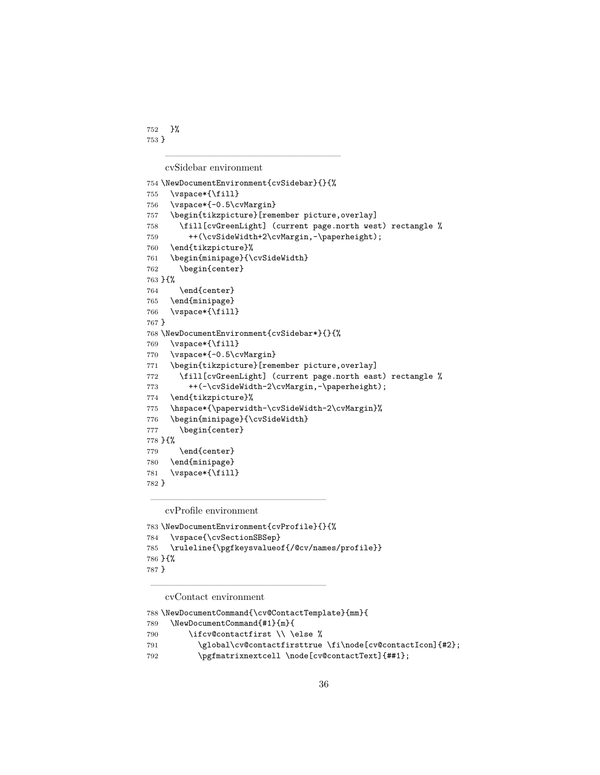}% }

cvSidebar environment

——————————————————

```
754 \NewDocumentEnvironment{cvSidebar}{}{%
755 \vspace*{\fill}
756 \vspace*{-0.5\cvMargin}
757 \begin{tikzpicture}[remember picture,overlay]
758 \fill[cvGreenLight] (current page.north west) rectangle %
759 ++(\cvSideWidth+2\cvMargin,-\paperheight);
760 \end{tikzpicture}%
761 \begin{minipage}{\cvSideWidth}
762 \begin{center}
763 }{%
764 \end{center}
765 \end{minipage}
766 \vspace*{\fill}
767 }
768 \NewDocumentEnvironment{cvSidebar*}{}{%
769 \vspace*{\fill}
770 \vspace*{-0.5\cvMargin}
771 \begin{tikzpicture}[remember picture,overlay]
772 \fill[cvGreenLight] (current page.north east) rectangle %
773 ++(-\cvSideWidth-2\cvMargin,-\paperheight);
774 \end{tikzpicture}%
775 \hspace*{\paperwidth-\cvSideWidth-2\cvMargin}%
776 \begin{minipage}{\cvSideWidth}
777 \begin{center}
778 }{%
779 \end{center}
780 \end{minipage}
781 \vspace*{\fill}
782 }
```
cvProfile environment

——————————————————

```
783 \NewDocumentEnvironment{cvProfile}{}{%
784 \vspace{\cvSectionSBSep}
785 \ruleline{\pgfkeysvalueof{/@cv/names/profile}}
786 }{%
787 }
```
cvContact environment

\NewDocumentCommand{\cv@ContactTemplate}{mm}{

```
789 \NewDocumentCommand{#1}{m}{
```
790 \ifcv@contactfirst \\ \else %

——————————————————

\global\cv@contactfirsttrue \fi\node[cv@contactIcon]{#2};

\pgfmatrixnextcell \node[cv@contactText]{##1};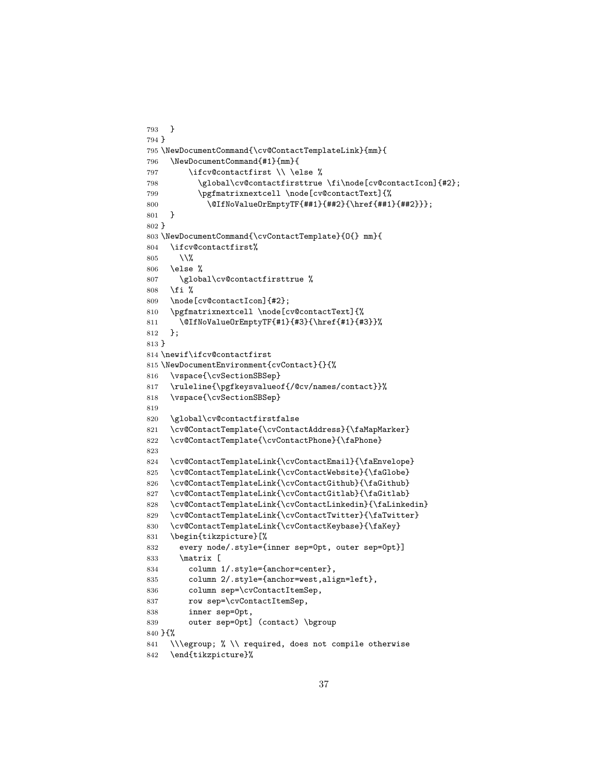```
793 }
794 }
795 \NewDocumentCommand{\cv@ContactTemplateLink}{mm}{
796 \NewDocumentCommand{#1}{mm}{
797 \ifcv@contactfirst \\ \else %
798 \global\cv@contactfirsttrue \fi\node[cv@contactIcon]{#2};
799 \pgfmatrixnextcell \node[cv@contactText]{%
800 \@IfNoValueOrEmptyTF{##1}{##2}{\href{##1}{##2}}};
801 }
802 }
803 \NewDocumentCommand{\cvContactTemplate}{O{} mm}{
804 \ifcv@contactfirst%
805 \sqrt{\%}806 \else %
807 \global\cv@contactfirsttrue %
808 \fi %
809 \node[cv@contactIcon]{#2};
810 \pgfmatrixnextcell \node[cv@contactText]{%
811 \@IfNoValueOrEmptyTF{#1}{#3}{\href{#1}{#3}}%
812 };
813 }
814 \newif\ifcv@contactfirst
815 \NewDocumentEnvironment{cvContact}{}{%
816 \vspace{\cvSectionSBSep}
817 \ruleline{\pgfkeysvalueof{/@cv/names/contact}}%
818 \vspace{\cvSectionSBSep}
819
820 \global\cv@contactfirstfalse
821 \cv@ContactTemplate{\cvContactAddress}{\faMapMarker}
822 \cv@ContactTemplate{\cvContactPhone}{\faPhone}
823
824 \cv@ContactTemplateLink{\cvContactEmail}{\faEnvelope}
825 \cv@ContactTemplateLink{\cvContactWebsite}{\faGlobe}
826 \cv@ContactTemplateLink{\cvContactGithub}{\faGithub}
827 \cv@ContactTemplateLink{\cvContactGitlab}{\faGitlab}
828 \cv@ContactTemplateLink{\cvContactLinkedin}{\faLinkedin}
829 \cv@ContactTemplateLink{\cvContactTwitter}{\faTwitter}
830 \cv@ContactTemplateLink{\cvContactKeybase}{\faKey}
831 \begin{tikzpicture}[%
832 every node/.style={inner sep=0pt, outer sep=0pt}]
833 \matrix [
834 column 1/.style={anchor=center},
835 column 2/.style={anchor=west,align=left},
836 column sep=\cvContactItemSep,
837 row sep=\cvContactItemSep,
838 inner sep=0pt,
839 outer sep=0pt] (contact) \bgroup
840 }{%
841 \\\egroup; % \\ required, does not compile otherwise
842 \end{tikzpicture}%
```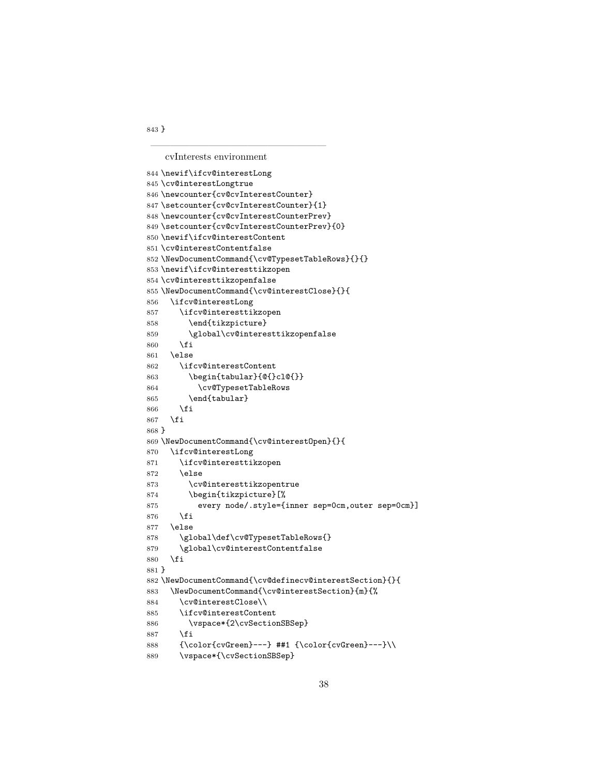cvInterests environment

——————————————————

```
844 \newif\ifcv@interestLong
845 \cv@interestLongtrue
846 \newcounter{cv@cvInterestCounter}
847 \setcounter{cv@cvInterestCounter}{1}
848 \newcounter{cv@cvInterestCounterPrev}
849 \setcounter{cv@cvInterestCounterPrev}{0}
850 \newif\ifcv@interestContent
851 \cv@interestContentfalse
852 \NewDocumentCommand{\cv@TypesetTableRows}{}{}
853 \newif\ifcv@interesttikzopen
854 \cv@interesttikzopenfalse
855 \NewDocumentCommand{\cv@interestClose}{}{
856 \ifcv@interestLong
857 \ifcv@interesttikzopen
858 \end{tikzpicture}
859 \global\cv@interesttikzopenfalse
860 \fi
861 \else
862 \ifcv@interestContent
863 \begin{tabular}{@{}cl@{}}
864 \cv@TypesetTableRows
865 \end{tabular}
866 \fi
867 \fi
868 }
869 \NewDocumentCommand{\cv@interestOpen}{}{
870 \ifcv@interestLong
871 \ifcv@interesttikzopen
872 \else
873 \cv@interesttikzopentrue
874 \begin{tikzpicture}[%
875 every node/.style={inner sep=0cm,outer sep=0cm}]
876 \fi
877 \else
878 \global\def\cv@TypesetTableRows{}
879 \global\cv@interestContentfalse
880 \fi
881 }
882 \NewDocumentCommand{\cv@definecv@interestSection}{}{
883 \NewDocumentCommand{\cv@interestSection}{m}{%
884 \cv@interestClose\\
885 \ifcv@interestContent
886 \vspace*{2\cvSectionSBSep}
887 \fi
888 \{\cdot\cdot\cdot\cdot\}- -\}##1 \{\cdot\cdot\cdot\cdot\cdot\}-889 \vspace*{\cvSectionSBSep}
```
}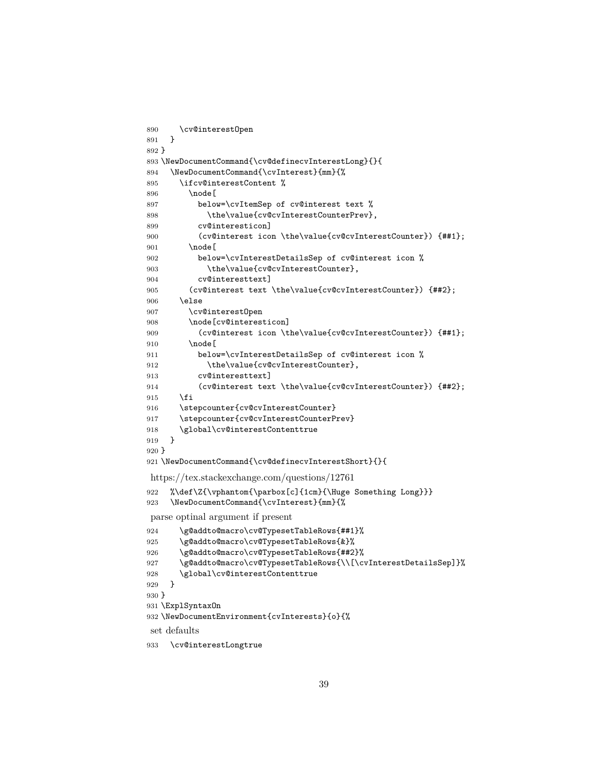```
890 \cv@interestOpen
891 }
892 }
893 \NewDocumentCommand{\cv@definecvInterestLong}{}{
894 \NewDocumentCommand{\cvInterest}{mm}{%
895 \ifcv@interestContent %
896 \node [
897 below=\cvItemSep of cv@interest text %
898 \the\value{cv@cvInterestCounterPrev},
899 cv@interesticon]
900 (cv@interest icon \the\value{cv@cvInterestCounter}) {##1};
901 \node [
902 below=\cvInterestDetailsSep of cv@interest icon %
903 \the\value{cv@cvInterestCounter},
904 cv@interesttext]
905 (cv@interest text \the\value{cv@cvInterestCounter}) {##2};
906 \else
907 \cv@interestOpen
908 \node[cv@interesticon]
909 (cv@interest icon \the\value{cv@cvInterestCounter}) {##1};
910 \node [
911 below=\cvInterestDetailsSep of cv@interest icon %
912 \the\value{cv@cvInterestCounter},
913 cv@interesttext]
914 (cv@interest text \the\value{cv@cvInterestCounter}) {##2};
915 \fi
916 \stepcounter{cv@cvInterestCounter}
917 \stepcounter{cv@cvInterestCounterPrev}
918 \global\cv@interestContenttrue
919 }
920 }
921 \NewDocumentCommand{\cv@definecvInterestShort}{}{
https://tex.stackexchange.com/questions/12761
922 %\def\Z{\vphantom{\parbox[c]{1cm}{\Huge Something Long}}}
923 \NewDocumentCommand{\cvInterest}{mm}{%
parse optinal argument if present
924 \g@addto@macro\cv@TypesetTableRows{##1}%
925 \g@addto@macro\cv@TypesetTableRows{&}%
926 \g@addto@macro\cv@TypesetTableRows{##2}%
927 \g@addto@macro\cv@TypesetTableRows{\\[\cvInterestDetailsSep]}%
928 \global\cv@interestContenttrue
929 }
930 }
931 \ExplSyntaxOn
932 \NewDocumentEnvironment{cvInterests}{o}{%
set defaults
933 \cv@interestLongtrue
```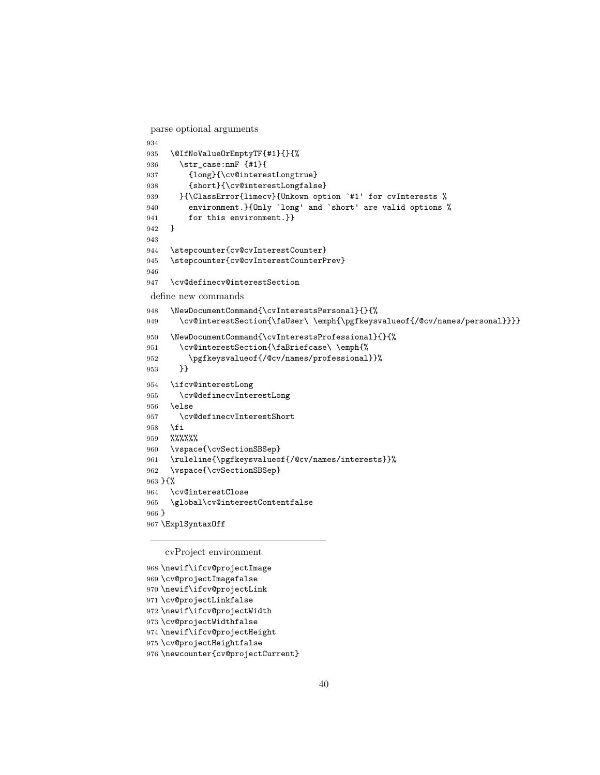parse optional arguments

```
934
935 \@IfNoValueOrEmptyTF{#1}{}{%
936 \str_case:nnF {#1}{
937 {long}{\cv@interestLongtrue}
938 {short}{\cv@interestLongfalse}
939 }{\ClassError{limecv}{Unkown option `#1' for cvInterests %
940 environment.}{Only `long' and `short' are valid options %
941 for this environment.}}
942 }
943
944 \stepcounter{cv@cvInterestCounter}
945 \stepcounter{cv@cvInterestCounterPrev}
946
947 \cv@definecv@interestSection
define new commands
948 \NewDocumentCommand{\cvInterestsPersonal}{}{%
949 \cv@interestSection{\faUser\ \emph{\pgfkeysvalueof{/@cv/names/personal}}}}
950 \NewDocumentCommand{\cvInterestsProfessional}{}{%
951 \cv@interestSection{\faBriefcase\ \emph{%
952 \pgfkeysvalueof{/@cv/names/professional}}%
953 }}
954 \ifcv@interestLong
955 \cv@definecvInterestLong
956 \else
957 \cv@definecvInterestShort
958 \fi
959 %%%%%%
960 \vspace{\cvSectionSBSep}
961 \ruleline{\pgfkeysvalueof{/@cv/names/interests}}%
962 \vspace{\cvSectionSBSep}
963 }{%
964 \cv@interestClose
965 \global\cv@interestContentfalse
966 }
967 \ExplSyntaxOff
```
cvProject environment

——————————————————

```
968 \newif\ifcv@projectImage
969 \cv@projectImagefalse
970 \newif\ifcv@projectLink
971 \cv@projectLinkfalse
972 \newif\ifcv@projectWidth
973 \cv@projectWidthfalse
974 \newif\ifcv@projectHeight
975 \cv@projectHeightfalse
976 \newcounter{cv@projectCurrent}
```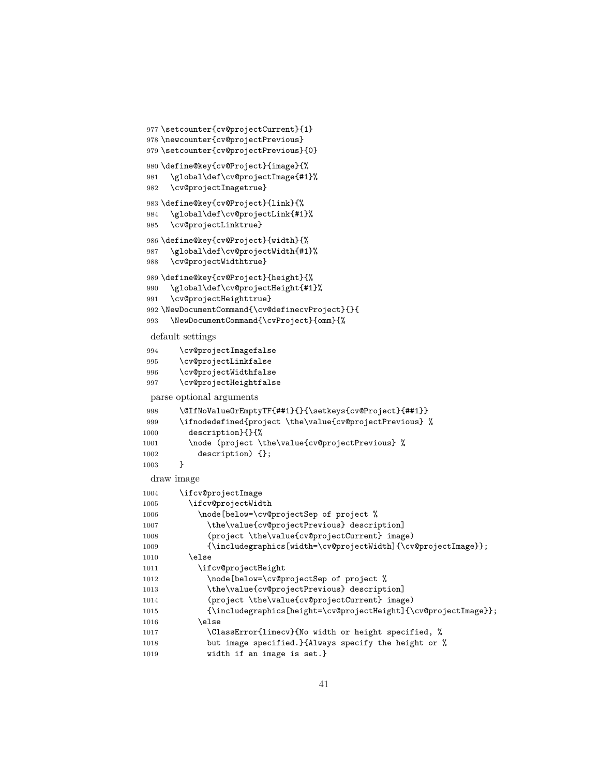```
977 \setcounter{cv@projectCurrent}{1}
978 \newcounter{cv@projectPrevious}
979 \setcounter{cv@projectPrevious}{0}
980 \define@key{cv@Project}{image}{%
981 \global\def\cv@projectImage{#1}%
982 \cv@projectImagetrue}
983 \define@key{cv@Project}{link}{%
984 \global\def\cv@projectLink{#1}%
985 \cv@projectLinktrue}
986 \define@key{cv@Project}{width}{%
987 \global\def\cv@projectWidth{#1}%
988 \cv@projectWidthtrue}
989 \define@key{cv@Project}{height}{%
990 \global\def\cv@projectHeight{#1}%
991 \cv@projectHeighttrue}
992 \NewDocumentCommand{\cv@definecvProject}{}{
993 \NewDocumentCommand{\cvProject}{omm}{%
 default settings
994 \cv@projectImagefalse
995 \cv@projectLinkfalse
996 \cv@projectWidthfalse
997 \cv@projectHeightfalse
 parse optional arguments
998 \@IfNoValueOrEmptyTF{##1}{}{\setkeys{cv@Project}{##1}}
999 \ifnodedefined{project \the\value{cv@projectPrevious} %
1000 description}{}{%
1001 \node (project \the\value{cv@projectPrevious} %
1002 description) {};
1003 }
 draw image
1004 \ifcv@projectImage
1005 \ifcv@projectWidth
1006 \node[below=\cv@projectSep of project %
1007 \the\value{cv@projectPrevious} description]
1008 (project \the\value{cv@projectCurrent} image)
1009 {\includegraphics[width=\cv@projectWidth]{\cv@projectImage}};
1010 \text{le}1011 \ifcv@projectHeight
1012 \node[below=\cv@projectSep of project %
1013 \the\value{cv@projectPrevious} description]
1014 (project \the\value{cv@projectCurrent} image)
1015 {\includegraphics[height=\cv@projectHeight]{\cv@projectImage}};
1016 \else
1017 \ClassError{limecv}{No width or height specified, %
1018 but image specified.}{Always specify the height or %
1019 width if an image is set.}
```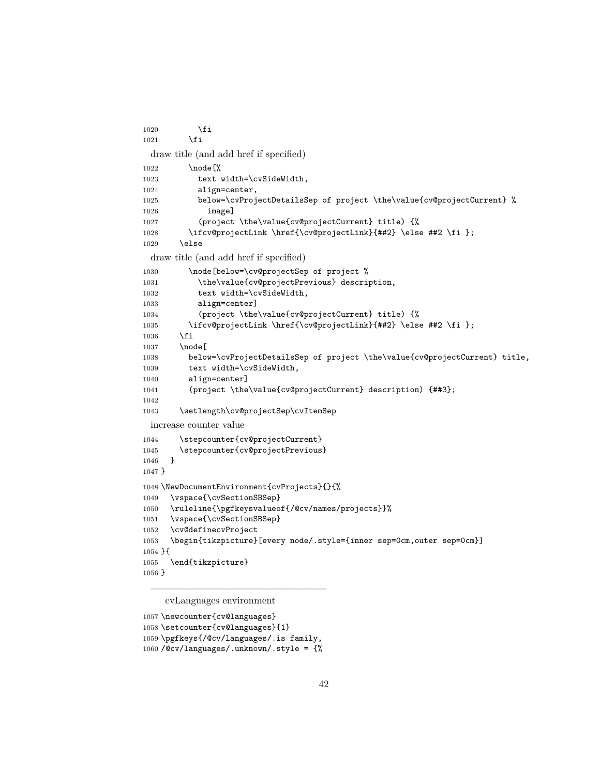```
1020 \setminusfi
1021 \fi
 draw title (and add href if specified)
1022 \node [%]
1023 text width=\cvSideWidth,
1024 align=center,
1025 below=\cvProjectDetailsSep of project \the\value{cv@projectCurrent} %
1026 image]
1027 (project \the\value{cv@projectCurrent} title) {%
1028 \ifcv@projectLink \href{\cv@projectLink}{##2} \else ##2 \fi };
1029 \else
 draw title (and add href if specified)
1030 \node[below=\cv@projectSep of project %
1031 \the\value{cv@projectPrevious} description,
1032 text width=\cvSideWidth,
1033 align=center]
1034 (project \the\value{cv@projectCurrent} title) {%
1035 \ifcv@projectLink \href{\cv@projectLink}{##2} \else ##2 \fi };
1036 \fi
1037 \node [
1038 below=\cvProjectDetailsSep of project \the\value{cv@projectCurrent} title,
1039 text width=\cvSideWidth,
1040 align=center]
1041 (project \the\value{cv@projectCurrent} description) {##3};
1042
1043 \setlength\cv@projectSep\cvItemSep
 increase counter value
1044 \stepcounter{cv@projectCurrent}
1045 \stepcounter{cv@projectPrevious}
1046 }
1047 }
1048 \NewDocumentEnvironment{cvProjects}{}{%
1049 \vspace{\cvSectionSBSep}
1050 \ruleline{\pgfkeysvalueof{/@cv/names/projects}}%
1051 \vspace{\cvSectionSBSep}
1052 \cv@definecvProject
1053 \begin{tikzpicture}[every node/.style={inner sep=0cm,outer sep=0cm}]
1054 }{
1055 \end{tikzpicture}
1056 }
```
cvLanguages environment

```
1057 \newcounter{cv@languages}
```

```
1058 \setcounter{cv@languages}{1}
```

```
1059 \pgfkeys{/@cv/languages/.is family,
```
——————————————————

/@cv/languages/.unknown/.style = {%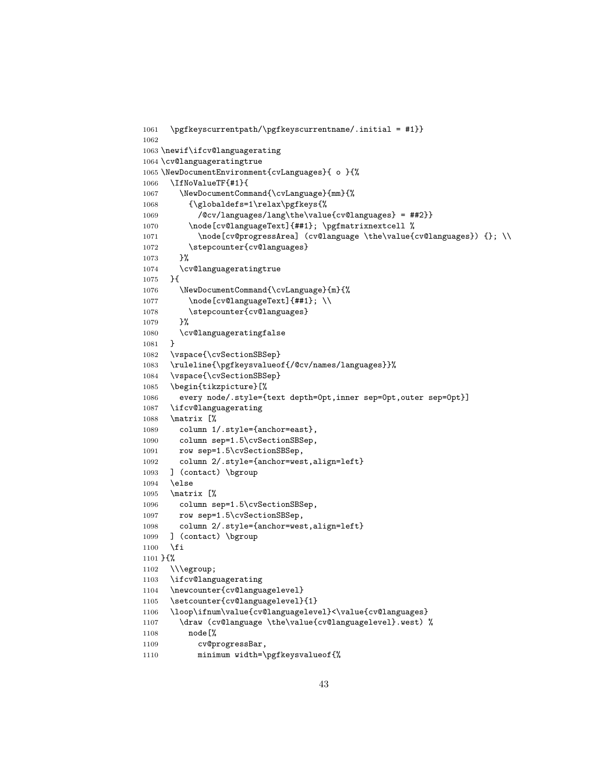```
1061 \pgfkeyscurrentpath/\pgfkeyscurrentname/.initial = #1}}
1062
1063 \newif\ifcv@languagerating
1064 \cv@languageratingtrue
1065 \NewDocumentEnvironment{cvLanguages}{ o }{%
1066 \IfNoValueTF{#1}{
1067 \NewDocumentCommand{\cvLanguage}{mm}{%
1068 {\globaldefs=1\relax\pgfkeys{%
1069 /@cv/languages/lang\the\value{cv@languages} = ##2}}
1070 \node[cv@languageText]{##1}; \pgfmatrixnextcell %
1071 \node[cv@progressArea] (cv@language \the\value{cv@languages}) {}; \\
1072 \stepcounter{cv@languages}
1073 }%
1074 \cv@languageratingtrue
1075 }{
1076 \NewDocumentCommand{\cvLanguage}{m}{%
1077 \node[cv@languageText]{##1}; \\
1078 \stepcounter{cv@languages}
1079 }%
1080 \cv@languageratingfalse
1081 }
1082 \vspace{\cvSectionSBSep}
1083 \ruleline{\pgfkeysvalueof{/@cv/names/languages}}%
1084 \vspace{\cvSectionSBSep}
1085 \begin{tikzpicture}[%
1086 every node/.style={text depth=0pt,inner sep=0pt,outer sep=0pt}]
1087 \ifcv@languagerating
1088 \matrix [%
1089 column 1/.style={anchor=east},
1090 column sep=1.5\cvSectionSBSep,
1091 row sep=1.5\cvSectionSBSep,
1092 column 2/.style={anchor=west,align=left}
1093 ] (contact) \bgroup
1094 \else
1095 \matrix [%
1096 column sep=1.5\cvSectionSBSep,
1097 row sep=1.5\cvSectionSBSep,
1098 column 2/.style={anchor=west,align=left}
1099 ] (contact) \bgroup
1100 \fi
1101 }{%
1102 \\\egroup;
1103 \ifcv@languagerating
1104 \newcounter{cv@languagelevel}
1105 \setcounter{cv@languagelevel}{1}
1106 \loop\ifnum\value{cv@languagelevel}<\value{cv@languages}
1107 \draw (cv@language \the\value{cv@languagelevel}.west) %
1108 node[%
1109 cv@progressBar,
1110 minimum width=\pgfkeysvalueof{%
```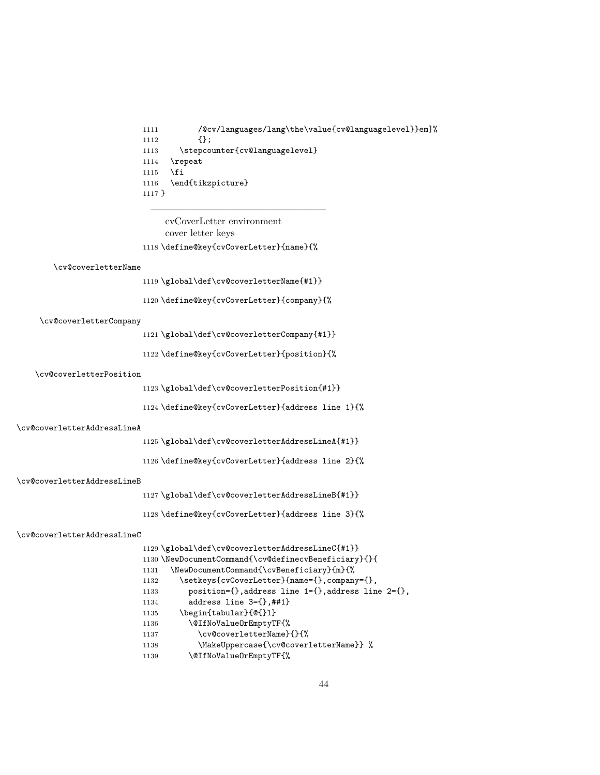```
1111 /@cv/languages/lang\the\value{cv@languagelevel}}em]%
1112 {};
1113 \stepcounter{cv@languagelevel}
1114 \lvertrepeat
1115 \fi
1116 \end{tikzpicture}
1117 }
```
cvCoverLetter environment cover letter keys \define@key{cvCoverLetter}{name}{%

——————————————————

#### \cv@coverletterName

\global\def\cv@coverletterName{#1}}

\define@key{cvCoverLetter}{company}{%

#### \cv@coverletterCompany

\global\def\cv@coverletterCompany{#1}}

\define@key{cvCoverLetter}{position}{%

#### \cv@coverletterPosition

\global\def\cv@coverletterPosition{#1}}

\define@key{cvCoverLetter}{address line 1}{%

#### \cv@coverletterAddressLineA

\global\def\cv@coverletterAddressLineA{#1}}

\define@key{cvCoverLetter}{address line 2}{%

#### \cv@coverletterAddressLineB

\global\def\cv@coverletterAddressLineB{#1}}

\define@key{cvCoverLetter}{address line 3}{%

#### \cv@coverletterAddressLineC

|      | 1129 \global\def\cv@coverletterAddressLineC{#1}}                   |
|------|--------------------------------------------------------------------|
|      | 1130 \NewDocumentCommand{\cv@definecvBeneficiary}{}{               |
| 1131 | \NewDocumentCommand{\cvBeneficiary}{m}{%                           |
| 1132 | \setkeys{cvCoverLetter}{name={},company={},                        |
| 1133 | position= $\{\}$ , address line $1=\{\}$ , address line $2=\{\}$ , |
| 1134 | address line $3=\{\}$ , ##1}                                       |
| 1135 | \begin{tabular}{0{}1}                                              |
| 1136 | \@IfNoValue0rEmptyTF{%                                             |
| 1137 | \cv@coverletterName}{}{%                                           |
| 1138 | \MakeUppercase{\cv@coverletterName}} %                             |
| 1139 | \@IfNoValue0rEmptyTF{%                                             |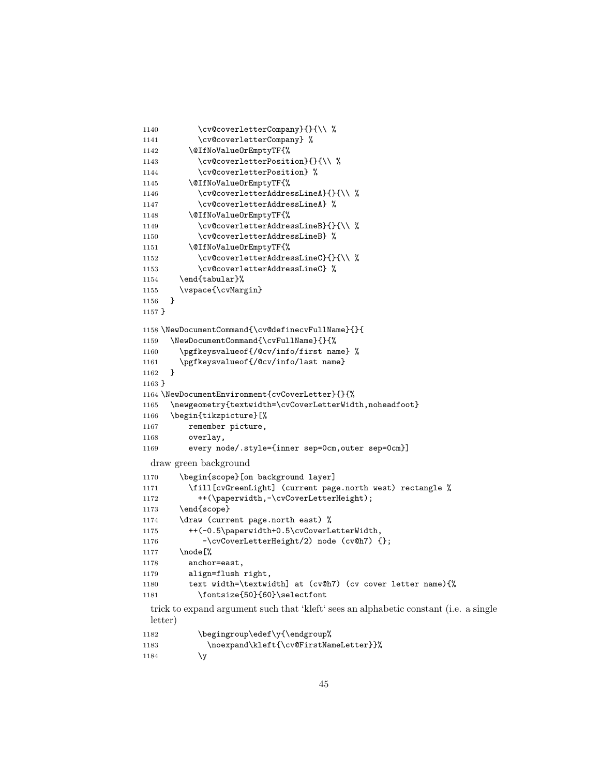```
1140 \cv@coverletterCompany}{}{\\ %
1141 \cv@coverletterCompany} %
1142 \@IfNoValueOrEmptyTF{%
1143 \cv@coverletterPosition}{}{\\ %
1144 \cv@coverletterPosition} %
1145 \@IfNoValueOrEmptyTF{%
1146 \cv@coverletterAddressLineA}{}{\\ %
1147 \cv@coverletterAddressLineA} %
1148 \@IfNoValueOrEmptyTF{%
1149 \cv@coverletterAddressLineB}{}{\\ %
1150 \cv@coverletterAddressLineB} %
1151 \@IfNoValueOrEmptyTF{%
1152 \cv@coverletterAddressLineC}{}{\\ %
1153 \cv@coverletterAddressLineC} %
1154 \end{tabular}%
1155 \vspace{\cvMargin}
1156 }
1157 }
1158 \NewDocumentCommand{\cv@definecvFullName}{}{
1159 \NewDocumentCommand{\cvFullName}{}{%
1160 \pgfkeysvalueof{/@cv/info/first name} %
1161 \pgfkeysvalueof{/@cv/info/last name}
1162 }
1163 }
1164 \NewDocumentEnvironment{cvCoverLetter}{}{%
1165 \newgeometry{textwidth=\cvCoverLetterWidth,noheadfoot}
1166 \begin{tikzpicture}[%
1167 remember picture,
1168 overlay,
1169 every node/.style={inner sep=0cm,outer sep=0cm}]
 draw green background
1170 \begin{scope}[on background layer]
1171 \fill[cvGreenLight] (current page.north west) rectangle %
1172 ++(\paperwidth,-\cvCoverLetterHeight);
1173 \end{scope}
1174 \draw (current page.north east) %
1175 ++(-0.5\paperwidth+0.5\cvCoverLetterWidth,
1176 -\cvCoverLetterHeight/2) node (cv@h7) {};
1177 \node [%]
1178 anchor=east,
1179 align=flush right,
1180 text width=\textwidth] at (cv@h7) (cv cover letter name){%
1181 \fontsize{50}{60}\selectfont
 trick to expand argument such that 'kleft' sees an alphabetic constant (i.e. a single
 letter)
1182 \begingroup\edef\y{\endgroup%
```

```
1183 \noexpand\kleft{\cv@FirstNameLetter}}%
1184 \gamma
```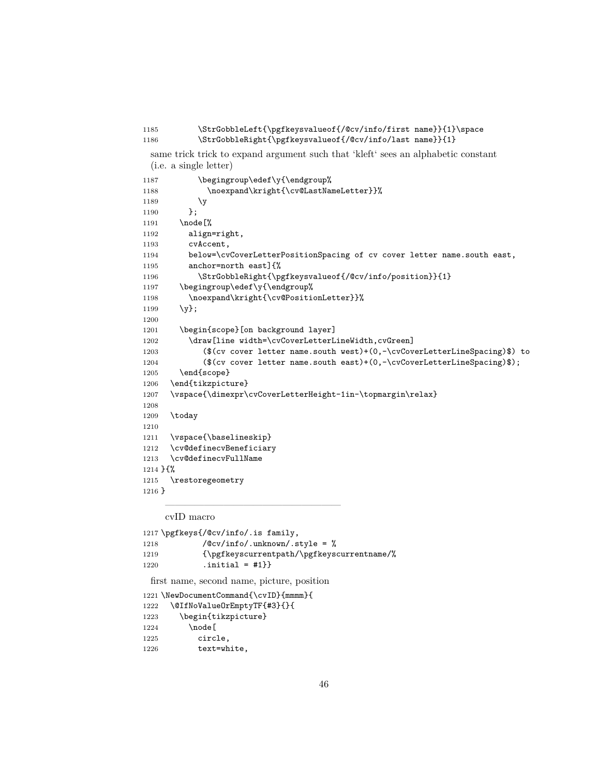```
1185 \StrGobbleLeft{\pgfkeysvalueof{/@cv/info/first name}}{1}\space
1186 \StrGobbleRight{\pgfkeysvalueof{/@cv/info/last name}}{1}
```
same trick trick to expand argument such that 'kleft' sees an alphabetic constant (i.e. a single letter)

```
1187 \begingroup\edef\y{\endgroup%
1188 \noexpand\kright{\cv@LastNameLetter}}%
1189 \gamma1190 };
1191 \node [%]
1192 align=right,
1193 cvAccent,
1194 below=\cvCoverLetterPositionSpacing of cv cover letter name.south east,
1195 anchor=north east]{%
1196 \StrGobbleRight{\pgfkeysvalueof{/@cv/info/position}}{1}
1197 \begingroup\edef\y{\endgroup%
1198 \noexpand\kright{\cv@PositionLetter}}%
1199 \{y\};1200
1201 \begin{scope}[on background layer]
1202 \draw[line width=\cvCoverLetterLineWidth,cvGreen]
1203 ($(cv cover letter name.south west)+(0,-\cvCoverLetterLineSpacing)$) to
1204 ($(cv cover letter name.south east)+(0,-\cvCoverLetterLineSpacing)$);
1205 \end{scope}
1206 \end{tikzpicture}
1207 \vspace{\dimexpr\cvCoverLetterHeight-1in-\topmargin\relax}
1208
1209 \today
1210
1211 \vspace{\baselineskip}
1212 \cv@definecvBeneficiary
1213 \cv@definecvFullName
1214 }{%
1215 \restoregeometry
1216 }
```
cvID macro

```
1217 \pgfkeys{/@cv/info/.is family,
1218 /\sqrt{Qcv/info/}.unknown/.style = %1219 {\pgfkeyscurrentpath/\pgfkeyscurrentname/%
1220 .initial = \#1}
 first name, second name, picture, position
1221 \NewDocumentCommand{\cvID}{mmmm}{
1222 \@IfNoValueOrEmptyTF{#3}{}{
1223 \begin{tikzpicture}
1224 \node [
1225 circle,
1226 text=white,
```
——————————————————